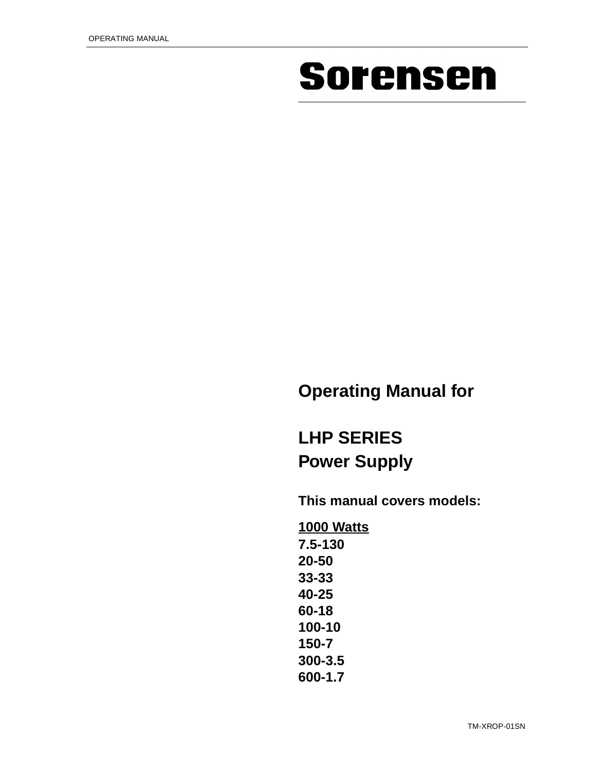# Sorensen

# **Operating Manual for**

# **LHP SERIES Power Supply**

**This manual covers models:**

**1000 Watts 7.5-130 20-50 33-33 40-25 60-18 100-10 150-7 300-3.5 600-1.7**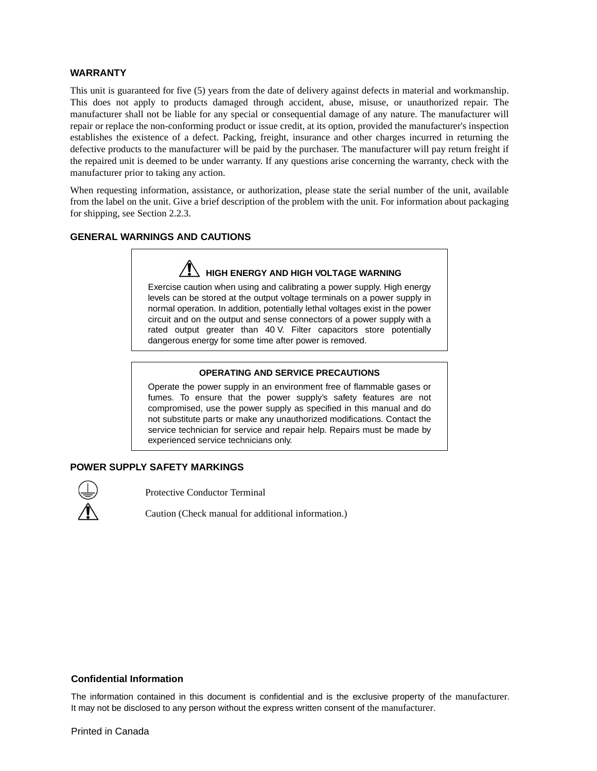#### **WARRANTY**

This unit is guaranteed for five (5) years from the date of delivery against defects in material and workmanship. This does not apply to products damaged through accident, abuse, misuse, or unauthorized repair. The manufacturer shall not be liable for any special or consequential damage of any nature. The manufacturer will repair or replace the non-conforming product or issue credit, at its option, provided the manufacturer's inspection establishes the existence of a defect. Packing, freight, insurance and other charges incurred in returning the defective products to the manufacturer will be paid by the purchaser. The manufacturer will pay return freight if the repaired unit is deemed to be under warranty. If any questions arise concerning the warranty, check with the manufacturer prior to taking any action.

When requesting information, assistance, or authorization, please state the serial number of the unit, available from the label on the unit. Give a brief description of the problem with the unit. For information about packaging for shipping, see Section 2.2.3.

#### **GENERAL WARNINGS AND CAUTIONS**

#### **HIGH ENERGY AND HIGH VOLTAGE WARNING**

Exercise caution when using and calibrating a power supply. High energy levels can be stored at the output voltage terminals on a power supply in normal operation. In addition, potentially lethal voltages exist in the power circuit and on the output and sense connectors of a power supply with a rated output greater than 40 V. Filter capacitors store potentially dangerous energy for some time after power is removed.

#### **OPERATING AND SERVICE PRECAUTIONS**

Operate the power supply in an environment free of flammable gases or fumes. To ensure that the power supply's safety features are not compromised, use the power supply as specified in this manual and do not substitute parts or make any unauthorized modifications. Contact the service technician for service and repair help. Repairs must be made by experienced service technicians only.

#### **POWER SUPPLY SAFETY MARKINGS**



Protective Conductor Terminal

Caution (Check manual for additional information.)

#### **Confidential Information**

The information contained in this document is confidential and is the exclusive property of the manufacturer. It may not be disclosed to any person without the express written consent of the manufacturer.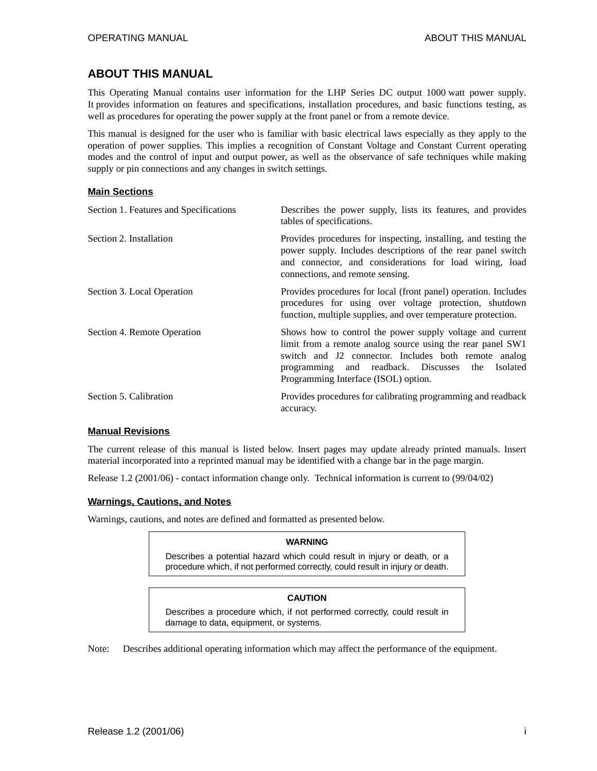### **ABOUT THIS MANUAL**

This Operating Manual contains user information for the LHP Series DC output 1000 watt power supply. It provides information on features and specifications, installation procedures, and basic functions testing, as well as procedures for operating the power supply at the front panel or from a remote device.

This manual is designed for the user who is familiar with basic electrical laws especially as they apply to the operation of power supplies. This implies a recognition of Constant Voltage and Constant Current operating modes and the control of input and output power, as well as the observance of safe techniques while making supply or pin connections and any changes in switch settings.

#### **Main Sections**

| Section 1. Features and Specifications | Describes the power supply, lists its features, and provides<br>tables of specifications.                                                                                                                                                                                         |
|----------------------------------------|-----------------------------------------------------------------------------------------------------------------------------------------------------------------------------------------------------------------------------------------------------------------------------------|
| Section 2. Installation                | Provides procedures for inspecting, installing, and testing the<br>power supply. Includes descriptions of the rear panel switch<br>and connector, and considerations for load wiring, load<br>connections, and remote sensing.                                                    |
| Section 3. Local Operation             | Provides procedures for local (front panel) operation. Includes<br>procedures for using over voltage protection, shutdown<br>function, multiple supplies, and over temperature protection.                                                                                        |
| Section 4. Remote Operation            | Shows how to control the power supply voltage and current<br>limit from a remote analog source using the rear panel SW1<br>switch and J2 connector. Includes both remote analog<br>programming and readback. Discusses<br>Isolated<br>the<br>Programming Interface (ISOL) option. |
| Section 5. Calibration                 | Provides procedures for calibrating programming and readback<br>accuracy.                                                                                                                                                                                                         |

#### **Manual Revisions**

The current release of this manual is listed below. Insert pages may update already printed manuals. Insert material incorporated into a reprinted manual may be identified with a change bar in the page margin.

Release 1.2 (2001/06) - contact information change only. Technical information is current to (99/04/02)

#### **Warnings, Cautions, and Notes**

Warnings, cautions, and notes are defined and formatted as presented below.

#### **WARNING**

Describes a potential hazard which could result in injury or death, or a procedure which, if not performed correctly, could result in injury or death.

#### **CAUTION**

Describes a procedure which, if not performed correctly, could result in damage to data, equipment, or systems.

Note: Describes additional operating information which may affect the performance of the equipment.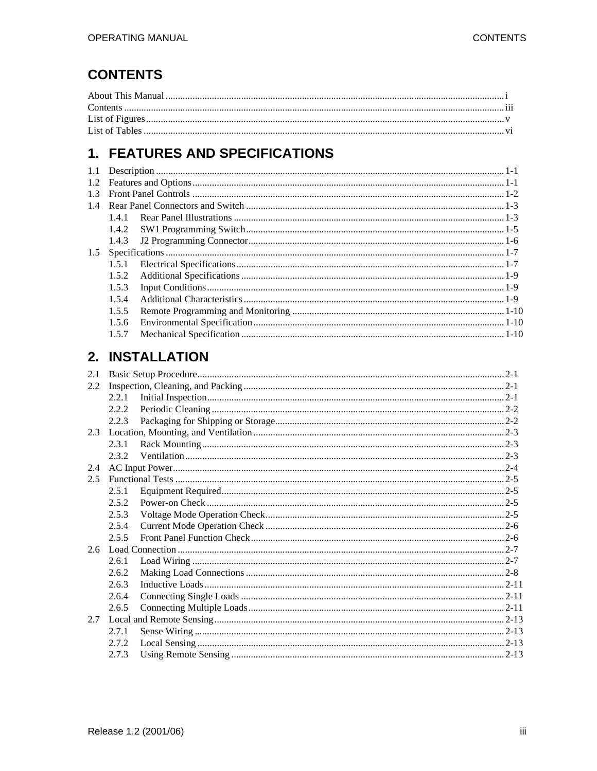# **CONTENTS**

# 1. FEATURES AND SPECIFICATIONS

|     | 141   |  |
|-----|-------|--|
|     |       |  |
|     | 1.4.3 |  |
| 1.5 |       |  |
|     | 1.5.1 |  |
|     | 1.5.2 |  |
|     | 1.5.3 |  |
|     | 1.5.4 |  |
|     | 1.5.5 |  |
|     | 1.5.6 |  |
|     | 1.5.7 |  |

# 2. INSTALLATION

| 2.2.1 |  |
|-------|--|
| 2.2.2 |  |
| 2.2.3 |  |
|       |  |
| 2.3.1 |  |
| 2.3.2 |  |
|       |  |
|       |  |
| 2.5.1 |  |
| 2.5.2 |  |
| 2.5.3 |  |
| 2.5.4 |  |
| 2.5.5 |  |
|       |  |
| 2.6.1 |  |
| 2.6.2 |  |
| 2.6.3 |  |
| 2.6.4 |  |
| 2.6.5 |  |
|       |  |
| 2.7.1 |  |
| 2.7.2 |  |
| 2.7.3 |  |
|       |  |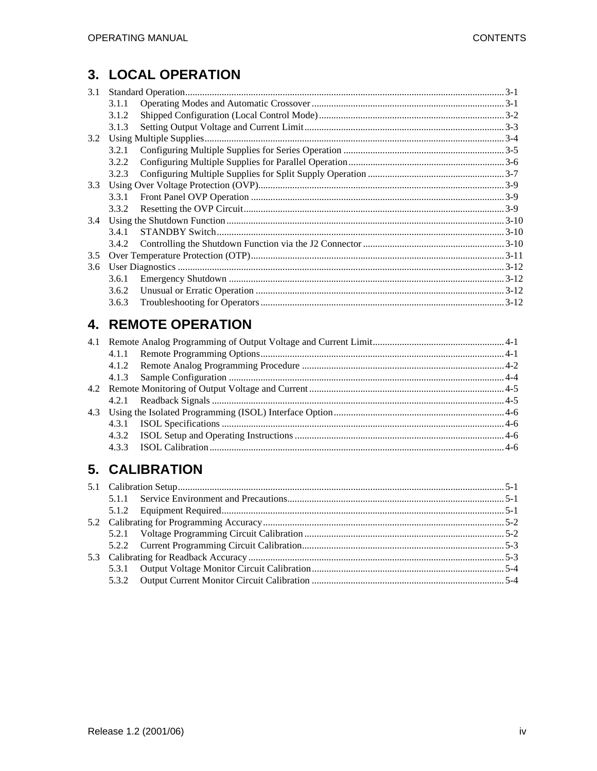# 3. LOCAL OPERATION

| 3.1           |       |  |
|---------------|-------|--|
|               | 3.1.1 |  |
|               | 3.1.2 |  |
|               | 3.1.3 |  |
| 3.2           |       |  |
|               | 3.2.1 |  |
|               | 3.2.2 |  |
|               | 3.2.3 |  |
| $3.3^{\circ}$ |       |  |
|               | 3.3.1 |  |
|               | 3.3.2 |  |
| 3.4           |       |  |
|               | 3.4.1 |  |
|               | 3.4.2 |  |
| 3.5           |       |  |
| 3.6           |       |  |
|               | 3.6.1 |  |
|               | 3.6.2 |  |
|               | 3.6.3 |  |

# **4. REMOTE OPERATION**

# 5. CALIBRATION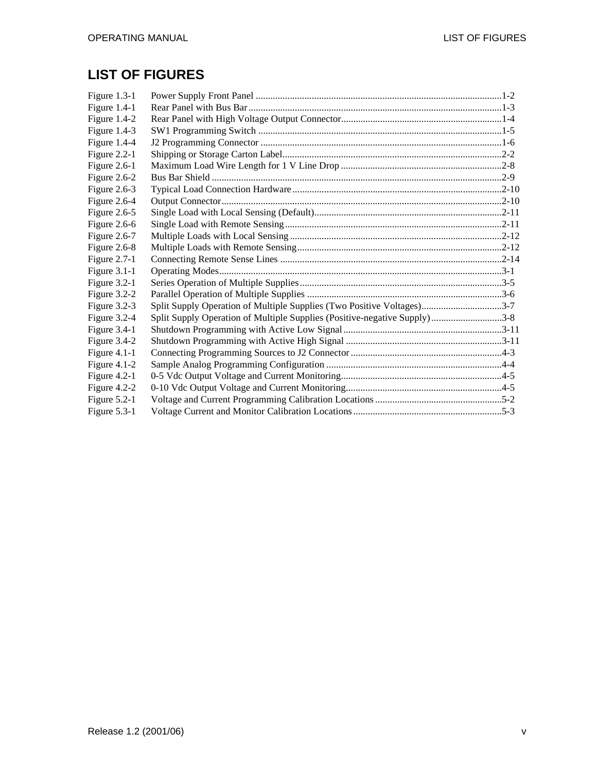# **LIST OF FIGURES**

| Figure $1.3-1$ |                                                                           |  |
|----------------|---------------------------------------------------------------------------|--|
| Figure $1.4-1$ |                                                                           |  |
| Figure $1.4-2$ |                                                                           |  |
| Figure $1.4-3$ |                                                                           |  |
| Figure $1.4-4$ |                                                                           |  |
| Figure $2.2-1$ |                                                                           |  |
| Figure $2.6-1$ |                                                                           |  |
| Figure $2.6-2$ |                                                                           |  |
| Figure $2.6-3$ |                                                                           |  |
| Figure 2.6-4   |                                                                           |  |
| Figure $2.6-5$ |                                                                           |  |
| Figure 2.6-6   |                                                                           |  |
| Figure $2.6-7$ |                                                                           |  |
| Figure 2.6-8   |                                                                           |  |
| Figure $2.7-1$ |                                                                           |  |
| Figure $3.1-1$ |                                                                           |  |
| Figure $3.2-1$ |                                                                           |  |
| Figure 3.2-2   |                                                                           |  |
| Figure 3.2-3   | Split Supply Operation of Multiple Supplies (Two Positive Voltages)3-7    |  |
| Figure 3.2-4   | Split Supply Operation of Multiple Supplies (Positive-negative Supply)3-8 |  |
| Figure 3.4-1   |                                                                           |  |
| Figure 3.4-2   |                                                                           |  |
| Figure $4.1-1$ |                                                                           |  |
| Figure $4.1-2$ |                                                                           |  |
| Figure $4.2-1$ |                                                                           |  |
| Figure 4.2-2   |                                                                           |  |
| Figure $5.2-1$ |                                                                           |  |
| Figure $5.3-1$ |                                                                           |  |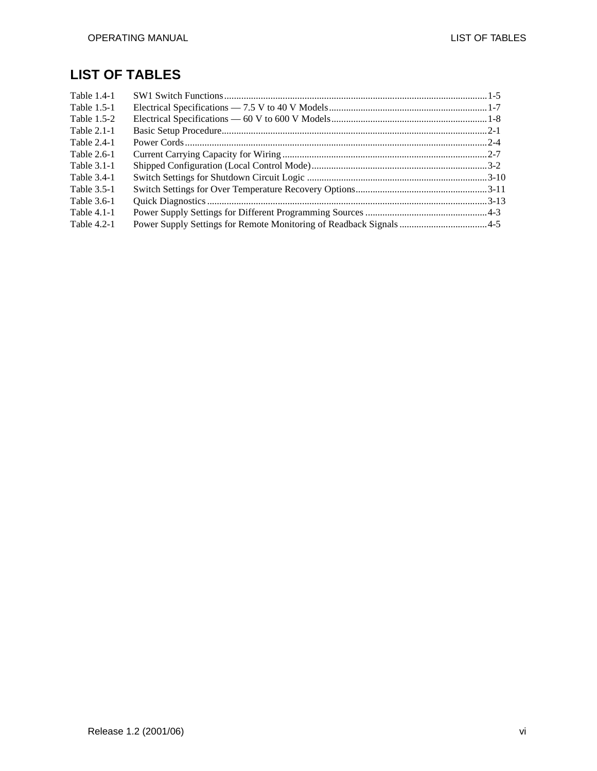# **LIST OF TABLES**

| Table 1.4-1   |                                                                    |  |
|---------------|--------------------------------------------------------------------|--|
| Table 1.5-1   |                                                                    |  |
| Table 1.5-2   |                                                                    |  |
| Table $2.1-1$ |                                                                    |  |
| Table 2.4-1   |                                                                    |  |
| Table 2.6-1   |                                                                    |  |
| Table $3.1-1$ |                                                                    |  |
| Table 3.4-1   |                                                                    |  |
| Table 3.5-1   |                                                                    |  |
| Table 3.6-1   |                                                                    |  |
| Table $4.1-1$ |                                                                    |  |
| Table 4.2-1   | Power Supply Settings for Remote Monitoring of Readback Signals4-5 |  |
|               |                                                                    |  |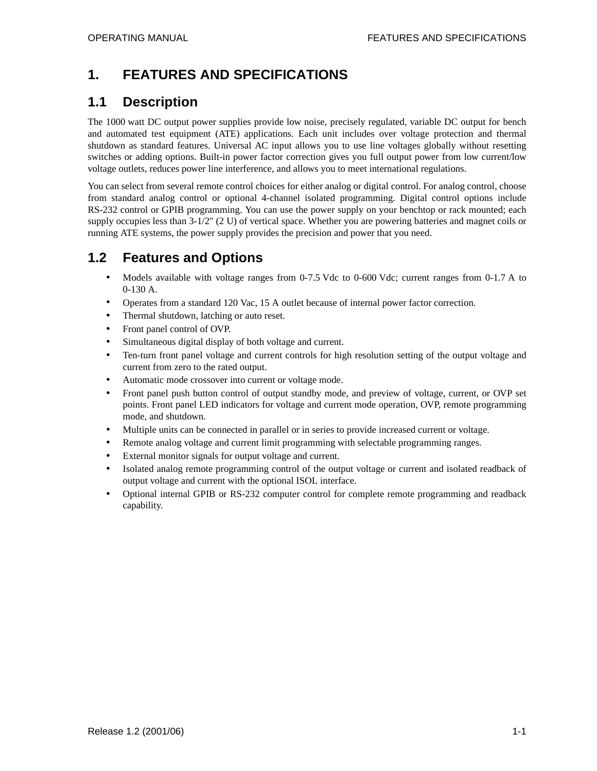# **1. FEATURES AND SPECIFICATIONS**

### **1.1 Description**

The 1000 watt DC output power supplies provide low noise, precisely regulated, variable DC output for bench and automated test equipment (ATE) applications. Each unit includes over voltage protection and thermal shutdown as standard features. Universal AC input allows you to use line voltages globally without resetting switches or adding options. Built-in power factor correction gives you full output power from low current/low voltage outlets, reduces power line interference, and allows you to meet international regulations.

You can select from several remote control choices for either analog or digital control. For analog control, choose from standard analog control or optional 4-channel isolated programming. Digital control options include RS-232 control or GPIB programming. You can use the power supply on your benchtop or rack mounted; each supply occupies less than 3-1/2" (2 U) of vertical space. Whether you are powering batteries and magnet coils or running ATE systems, the power supply provides the precision and power that you need.

### **1.2 Features and Options**

- Models available with voltage ranges from 0-7.5 Vdc to 0-600 Vdc; current ranges from 0-1.7 A to 0-130 A.
- Operates from a standard 120 Vac, 15 A outlet because of internal power factor correction.
- Thermal shutdown, latching or auto reset.
- Front panel control of OVP.
- Simultaneous digital display of both voltage and current.
- Ten-turn front panel voltage and current controls for high resolution setting of the output voltage and current from zero to the rated output.
- Automatic mode crossover into current or voltage mode.
- Front panel push button control of output standby mode, and preview of voltage, current, or OVP set points. Front panel LED indicators for voltage and current mode operation, OVP, remote programming mode, and shutdown.
- Multiple units can be connected in parallel or in series to provide increased current or voltage.
- Remote analog voltage and current limit programming with selectable programming ranges.
- External monitor signals for output voltage and current.
- Isolated analog remote programming control of the output voltage or current and isolated readback of output voltage and current with the optional ISOL interface.
- Optional internal GPIB or RS-232 computer control for complete remote programming and readback capability.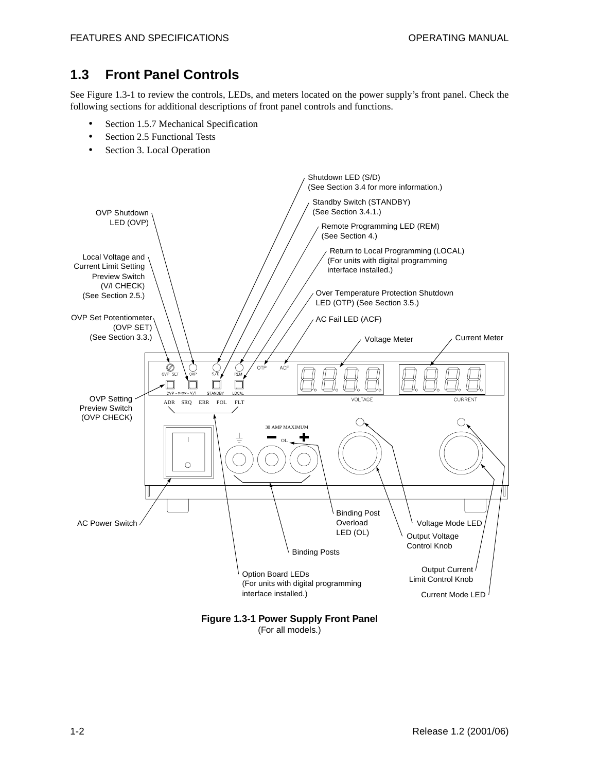### **1.3 Front Panel Controls**

See Figure 1.3-1 to review the controls, LEDs, and meters located on the power supply's front panel. Check the following sections for additional descriptions of front panel controls and functions.

- Section 1.5.7 Mechanical Specification
- Section 2.5 Functional Tests
- Section 3. Local Operation



**Figure 1.3-1 Power Supply Front Panel** (For all models.)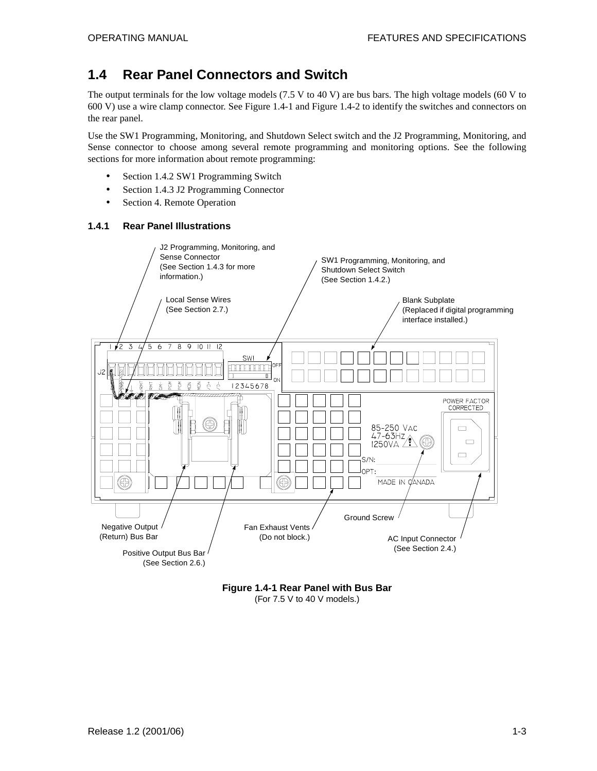### **1.4 Rear Panel Connectors and Switch**

The output terminals for the low voltage models (7.5 V to 40 V) are bus bars. The high voltage models (60 V to 600 V) use a wire clamp connector. See Figure 1.4-1 and Figure 1.4-2 to identify the switches and connectors on the rear panel.

Use the SW1 Programming, Monitoring, and Shutdown Select switch and the J2 Programming, Monitoring, and Sense connector to choose among several remote programming and monitoring options. See the following sections for more information about remote programming:

- Section 1.4.2 SW1 Programming Switch
- Section 1.4.3 J2 Programming Connector
- Section 4. Remote Operation

#### **1.4.1 Rear Panel Illustrations**



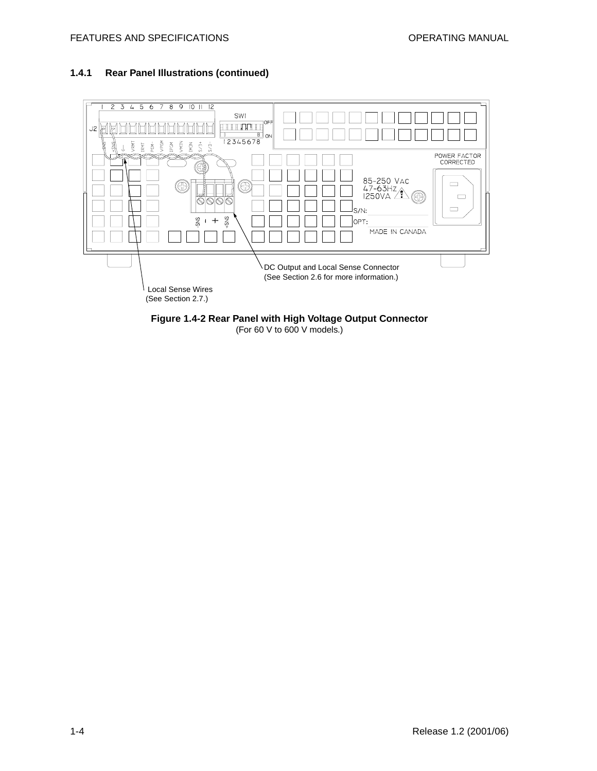





(For 60 V to 600 V models.)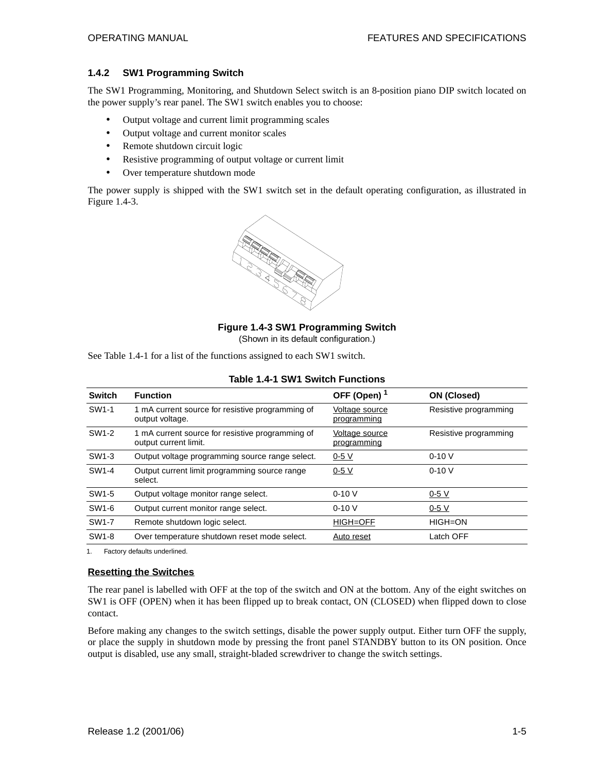#### **1.4.2 SW1 Programming Switch**

The SW1 Programming, Monitoring, and Shutdown Select switch is an 8-position piano DIP switch located on the power supply's rear panel. The SW1 switch enables you to choose:

- Output voltage and current limit programming scales
- Output voltage and current monitor scales
- Remote shutdown circuit logic
- Resistive programming of output voltage or current limit
- Over temperature shutdown mode

The power supply is shipped with the SW1 switch set in the default operating configuration, as illustrated in Figure 1.4-3.



#### **Figure 1.4-3 SW1 Programming Switch**

(Shown in its default configuration.)

See Table 1.4-1 for a list of the functions assigned to each SW1 switch.

| <b>Switch</b> | <b>Function</b>                                                           | OFF (Open) <sup>1</sup>              | ON (Closed)           |
|---------------|---------------------------------------------------------------------------|--------------------------------------|-----------------------|
| SW1-1         | 1 mA current source for resistive programming of<br>output voltage.       | <b>Voltage source</b><br>programming | Resistive programming |
| SW1-2         | 1 mA current source for resistive programming of<br>output current limit. | <b>Voltage source</b><br>programming | Resistive programming |
| SW1-3         | Output voltage programming source range select.                           | $0-5V$                               | $0-10V$               |
| SW1-4         | Output current limit programming source range<br>select.                  | $0-5V$                               | $0-10V$               |
| SW1-5         | Output voltage monitor range select.                                      | $0-10V$                              | $0-5$ V               |
| SW1-6         | Output current monitor range select.                                      | $0-10V$                              | $0-5V$                |
| SW1-7         | Remote shutdown logic select.                                             | HIGH=OFF                             | HIGH=ON               |
| SW1-8         | Over temperature shutdown reset mode select.                              | Auto reset                           | Latch OFF             |

#### **Table 1.4-1 SW1 Switch Functions**

1. Factory defaults underlined.

#### **Resetting the Switches**

The rear panel is labelled with OFF at the top of the switch and ON at the bottom. Any of the eight switches on SW1 is OFF (OPEN) when it has been flipped up to break contact, ON (CLOSED) when flipped down to close contact.

Before making any changes to the switch settings, disable the power supply output. Either turn OFF the supply, or place the supply in shutdown mode by pressing the front panel STANDBY button to its ON position. Once output is disabled, use any small, straight-bladed screwdriver to change the switch settings.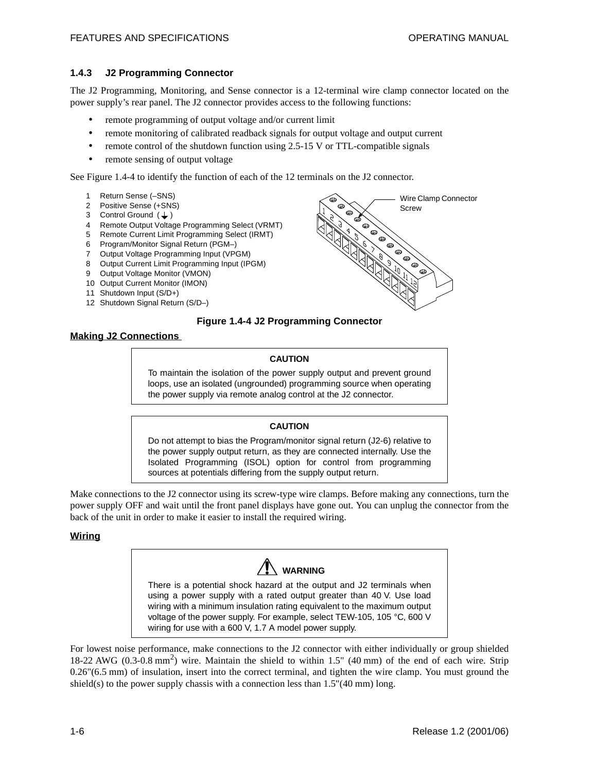#### **1.4.3 J2 Programming Connector**

The J2 Programming, Monitoring, and Sense connector is a 12-terminal wire clamp connector located on the power supply's rear panel. The J2 connector provides access to the following functions:

- remote programming of output voltage and/or current limit
- remote monitoring of calibrated readback signals for output voltage and output current
- remote control of the shutdown function using 2.5-15 V or TTL-compatible signals
- remote sensing of output voltage

See Figure 1.4-4 to identify the function of each of the 12 terminals on the J2 connector.

- 1 Return Sense (–SNS)
- 2 Positive Sense (+SNS)
- 3 Control Ground  $(\downarrow)$
- 4 Remote Output Voltage Programming Select (VRMT)
- 5 Remote Current Limit Programming Select (IRMT)
- 6 Program/Monitor Signal Return (PGM–)
- 7 Output Voltage Programming Input (VPGM)
- 8 Output Current Limit Programming Input (IPGM)
- 9 Output Voltage Monitor (VMON)
- 10 Output Current Monitor (IMON)
- 11 Shutdown Input (S/D+)
- 12 Shutdown Signal Return (S/D–)



#### **Figure 1.4-4 J2 Programming Connector**

#### **Making J2 Connections**

#### **CAUTION**

To maintain the isolation of the power supply output and prevent ground loops, use an isolated (ungrounded) programming source when operating the power supply via remote analog control at the J2 connector.

#### **CAUTION**

Do not attempt to bias the Program/monitor signal return (J2-6) relative to the power supply output return, as they are connected internally. Use the Isolated Programming (ISOL) option for control from programming sources at potentials differing from the supply output return.

Make connections to the J2 connector using its screw-type wire clamps. Before making any connections, turn the power supply OFF and wait until the front panel displays have gone out. You can unplug the connector from the back of the unit in order to make it easier to install the required wiring.

#### **Wiring**

# **WARNING**

There is a potential shock hazard at the output and J2 terminals when using a power supply with a rated output greater than 40 V. Use load wiring with a minimum insulation rating equivalent to the maximum output voltage of the power supply. For example, select TEW-105, 105 °C, 600 V wiring for use with a 600 V, 1.7 A model power supply.

For lowest noise performance, make connections to the J2 connector with either individually or group shielded 18-22 AWG (0.3-0.8 mm<sup>2</sup>) wire. Maintain the shield to within 1.5" (40 mm) of the end of each wire. Strip 0.26"(6.5 mm) of insulation, insert into the correct terminal, and tighten the wire clamp. You must ground the shield(s) to the power supply chassis with a connection less than  $1.5"$  (40 mm) long.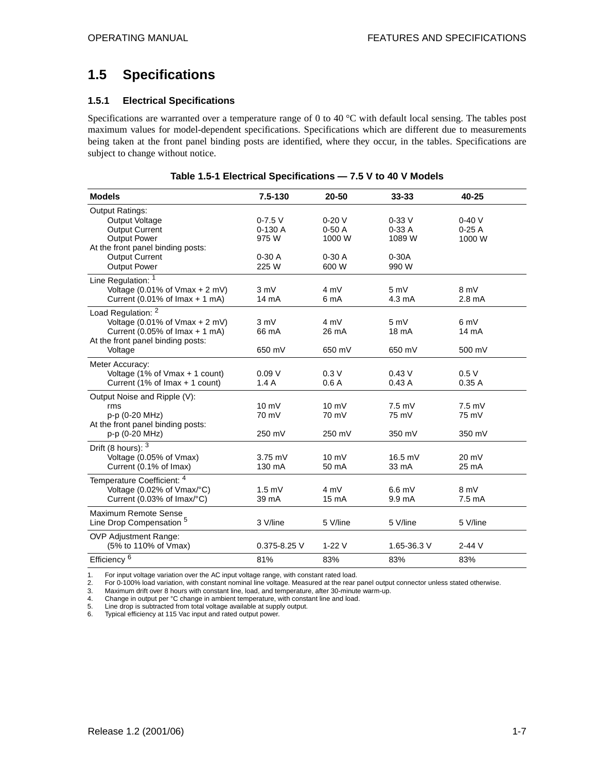### **1.5 Specifications**

#### **1.5.1 Electrical Specifications**

Specifications are warranted over a temperature range of 0 to 40 °C with default local sensing. The tables post maximum values for model-dependent specifications. Specifications which are different due to measurements being taken at the front panel binding posts are identified, where they occur, in the tables. Specifications are subject to change without notice.

| <b>Models</b>                                                                                                                                               | $7.5 - 130$                        | 20-50                              | $33 - 33$                    | 40-25                               |
|-------------------------------------------------------------------------------------------------------------------------------------------------------------|------------------------------------|------------------------------------|------------------------------|-------------------------------------|
| <b>Output Ratings:</b><br>Output Voltage<br><b>Output Current</b><br><b>Output Power</b><br>At the front panel binding posts:                               | $0 - 7.5$ V<br>$0-130A$<br>975 W   | $0-20V$<br>$0-50A$<br>1000 W       | $0-33V$<br>$0-33A$<br>1089 W | $0-40V$<br>$0-25A$<br>1000 W        |
| <b>Output Current</b><br>Output Power                                                                                                                       | $0-30A$<br>225 W                   | $0-30A$<br>600 W                   | $0-30A$<br>990 W             |                                     |
| Line Regulation: 1<br>Voltage (0.01% of Vmax + 2 mV)<br>Current (0.01% of $\text{Imax} + 1 \text{ mA}$ )                                                    | 3 mV<br>14 mA                      | 4 mV<br>6 mA                       | 5mV<br>$4.3 \text{ mA}$      | 8 mV<br>$2.8 \text{ mA}$            |
| Load Regulation: 2<br>Voltage (0.01% of $V$ max + 2 mV)<br>Current (0.05% of $\text{Imax} + 1 \text{ mA}$ )<br>At the front panel binding posts:<br>Voltage | 3 mV<br>66 mA<br>650 mV            | $4 \text{ mV}$<br>26 mA<br>650 mV  | 5mV<br>18 mA<br>650 mV       | 6mV<br>14 mA<br>500 mV              |
| Meter Accuracy:<br>Voltage (1% of Vmax + 1 count)<br>Current (1% of Imax + 1 count)                                                                         | 0.09V<br>1.4A                      | 0.3V<br>0.6A                       | 0.43V<br>0.43A               | 0.5V<br>0.35A                       |
| Output Noise and Ripple (V):<br>rms<br>p-p (0-20 MHz)<br>At the front panel binding posts:<br>p-p (0-20 MHz)                                                | $10 \text{ mV}$<br>70 mV<br>250 mV | $10 \text{ mV}$<br>70 mV<br>250 mV | $7.5$ mV<br>75 mV<br>350 mV  | $7.5 \text{ mV}$<br>75 mV<br>350 mV |
| Drift (8 hours): $3$<br>Voltage (0.05% of Vmax)<br>Current (0.1% of Imax)                                                                                   | $3.75$ mV<br>130 mA                | $10 \text{ mV}$<br>50 mA           | $16.5$ mV<br>33 mA           | $20 \text{ mV}$<br>25 mA            |
| Temperature Coefficient: 4<br>Voltage (0.02% of Vmax/°C)<br>Current (0.03% of Imax/°C)                                                                      | $1.5$ mV<br>39 mA                  | $4 \text{ mV}$<br>$15 \text{ mA}$  | $6.6$ mV<br>9.9 mA           | 8 mV<br>$7.5 \text{ mA}$            |
| Maximum Remote Sense<br>Line Drop Compensation <sup>5</sup>                                                                                                 | 3 V/line                           | 5 V/line                           | 5 V/line                     | 5 V/line                            |
| <b>OVP Adjustment Range:</b><br>(5% to 110% of Vmax)                                                                                                        | $0.375 - 8.25$ V                   | $1-22V$                            | 1.65-36.3 V                  | $2 - 44V$                           |
| Efficiency <sup>6</sup>                                                                                                                                     | 81%                                | 83%                                | 83%                          | 83%                                 |

**Table 1.5-1 Electrical Specifications — 7.5 V to 40 V Models**

1. For input voltage variation over the AC input voltage range, with constant rated load.<br>2. For 0-100% load variation, with constant nominal line voltage. Measured at the rear p<br>3. Maximum drift over 8 hours with constant 2. For 0-100% load variation, with constant nominal line voltage. Measured at the rear panel output connector unless stated otherwise.

3. Maximum drift over 8 hours with constant line, load, and temperature, after 30-minute warm-up.<br>4. Change in output per °C change in ambient temperature, with constant line and load.

4. Change in output per °C change in ambient temperature, with constant line and load.<br>5. Line drop is subtracted from total voltage available at supply output.

5. Line drop is subtracted from total voltage available at supply output.<br>6. Typical efficiency at 115 Vac input and rated output power

Typical efficiency at 115 Vac input and rated output power.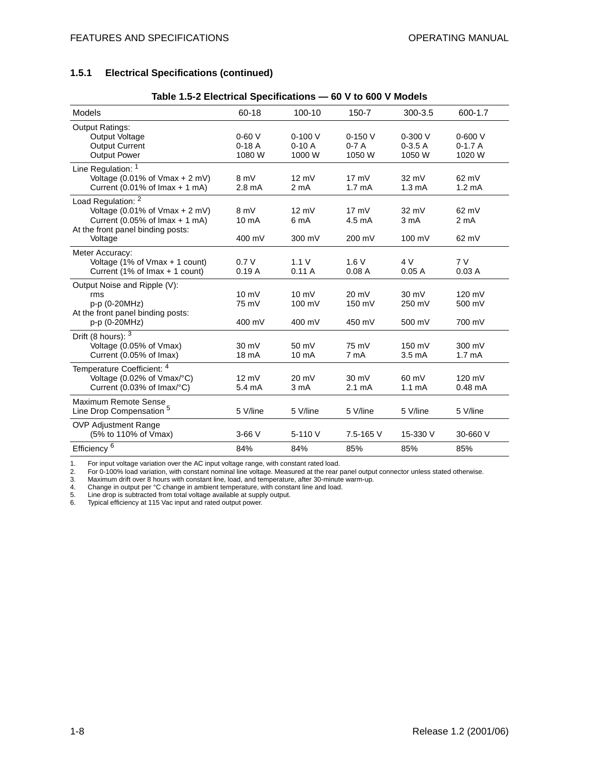#### **1.5.1 Electrical Specifications (continued)**

| <b>Models</b>                                                                                                                                                               | 60-18                               | 100-10                              | 150-7                                 | 300-3.5                        | 600-1.7                            |
|-----------------------------------------------------------------------------------------------------------------------------------------------------------------------------|-------------------------------------|-------------------------------------|---------------------------------------|--------------------------------|------------------------------------|
| <b>Output Ratings:</b><br>Output Voltage<br><b>Output Current</b><br><b>Output Power</b>                                                                                    | $0-60V$<br>$0-18A$<br>1080 W        | $0-100V$<br>$0-10A$<br>1000 W       | $0-150V$<br>$0-7A$<br>1050 W          | $0-300V$<br>$0-3.5A$<br>1050 W | $0 - 600$ V<br>$0-1.7A$<br>1020 W  |
| Line Regulation: 1<br>Voltage (0.01% of $V$ max + 2 mV)<br>Current (0.01% of $\text{Imax} + 1 \text{ mA}$ )                                                                 | 8 mV<br>$2.8 \text{ mA}$            | $12 \text{ mV}$<br>2 <sub>m</sub> A | $17 \text{ mV}$<br>1.7 <sub>m</sub> A | 32 mV<br>$1.3 \text{ mA}$      | 62 mV<br>1.2 <sub>m</sub> A        |
| Load Regulation: 2<br>Voltage $(0.01\% \text{ of Vmax} + 2 \text{ mV})$<br>Current (0.05% of $\text{Imax} + 1 \text{ mA}$ )<br>At the front panel binding posts:<br>Voltage | 8 mV<br>10 <sub>m</sub> A<br>400 mV | $12 \text{ mV}$<br>6 mA<br>300 mV   | $17 \text{ mV}$<br>4.5 mA<br>200 mV   | 32 mV<br>3 mA<br>100 mV        | 62 mV<br>2 <sub>m</sub> A<br>62 mV |
| Meter Accuracy:<br>Voltage (1% of Vmax + 1 count)<br>Current (1% of Imax + 1 count)                                                                                         | 0.7V<br>0.19A                       | 1.1V<br>0.11A                       | 1.6V<br>0.08A                         | 4 V<br>0.05A                   | 7V<br>0.03A                        |
| Output Noise and Ripple (V):<br>rms<br>p-p (0-20MHz)<br>At the front panel binding posts:<br>p-p (0-20MHz)                                                                  | $10 \text{ mV}$<br>75 mV<br>400 mV  | $10 \text{ mV}$<br>100 mV<br>400 mV | 20 mV<br>150 mV<br>450 mV             | 30 mV<br>250 mV<br>500 mV      | 120 mV<br>500 mV<br>700 mV         |
| Drift (8 hours): $3$<br>Voltage (0.05% of Vmax)<br>Current (0.05% of Imax)                                                                                                  | 30 mV<br>18 mA                      | 50 mV<br>10 mA                      | 75 mV<br>7 mA                         | 150 mV<br>3.5 <sub>mA</sub>    | 300 mV<br>1.7 <sub>m</sub> A       |
| Temperature Coefficient: 4<br>Voltage (0.02% of Vmax/°C)<br>Current (0.03% of Imax/°C)                                                                                      | $12 \text{ mV}$<br>5.4 mA           | 20 mV<br>3 mA                       | 30 mV<br>2.1 mA                       | 60 mV<br>1.1 <sub>m</sub> A    | 120 mV<br>$0.48$ mA                |
| Maximum Remote Sense<br>Line Drop Compensation <sup>5</sup>                                                                                                                 | 5 V/line                            | 5 V/line                            | 5 V/line                              | 5 V/line                       | 5 V/line                           |
| <b>OVP Adjustment Range</b><br>(5% to 110% of Vmax)                                                                                                                         | $3-66$ V                            | 5-110 V                             | 7.5-165 V                             | 15-330 V                       | 30-660 V                           |
| Efficiency <sup>6</sup>                                                                                                                                                     | 84%                                 | 84%                                 | 85%                                   | 85%                            | 85%                                |

#### **Table 1.5-2 Electrical Specifications — 60 V to 600 V Models**

1. For input voltage variation over the AC input voltage range, with constant rated load.

2. For 0-100% load variation, with constant nominal line voltage. Measured at the rear panel output connector unless stated otherwise.

3. Maximum drift over 8 hours with constant line, load, and temperature, after 30-minute warm-up. 4. Change in output per °C change in ambient temperature, with constant line and load.

5. Line drop is subtracted from total voltage available at supply output.

6. Typical efficiency at 115 Vac input and rated output power.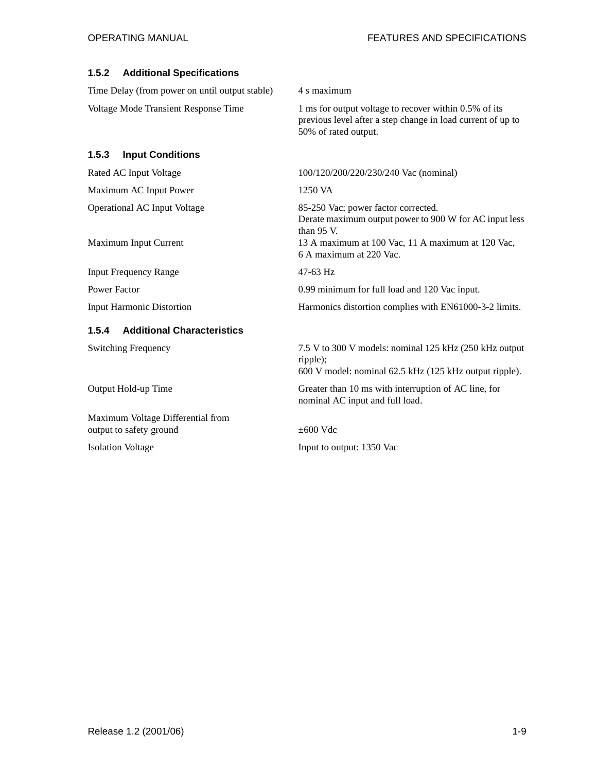#### **1.5.2 Additional Specifications**

| <b>1.5.2 Additional Specifications</b>                       |                                                                                                                                                                                               |
|--------------------------------------------------------------|-----------------------------------------------------------------------------------------------------------------------------------------------------------------------------------------------|
| Time Delay (from power on until output stable)               | 4 s maximum                                                                                                                                                                                   |
| Voltage Mode Transient Response Time                         | 1 ms for output voltage to recover within 0.5% of its<br>previous level after a step change in load current of up to<br>50% of rated output.                                                  |
| 1.5.3<br><b>Input Conditions</b>                             |                                                                                                                                                                                               |
| Rated AC Input Voltage                                       | 100/120/200/220/230/240 Vac (nominal)                                                                                                                                                         |
| Maximum AC Input Power                                       | 1250 VA                                                                                                                                                                                       |
| <b>Operational AC Input Voltage</b><br>Maximum Input Current | 85-250 Vac; power factor corrected.<br>Derate maximum output power to 900 W for AC input less<br>than $95$ V.<br>13 A maximum at 100 Vac, 11 A maximum at 120 Vac,<br>6 A maximum at 220 Vac. |
| <b>Input Frequency Range</b>                                 | 47-63 Hz                                                                                                                                                                                      |
| Power Factor                                                 | 0.99 minimum for full load and 120 Vac input.                                                                                                                                                 |
| <b>Input Harmonic Distortion</b>                             | Harmonics distortion complies with EN61000-3-2 limits.                                                                                                                                        |
| 1.5.4<br><b>Additional Characteristics</b>                   |                                                                                                                                                                                               |
| <b>Switching Frequency</b>                                   | 7.5 V to 300 V models: nominal 125 kHz (250 kHz output<br>ripple);<br>600 V model: nominal 62.5 kHz (125 kHz output ripple).                                                                  |
| Output Hold-up Time                                          | Greater than 10 ms with interruption of AC line, for<br>nominal AC input and full load.                                                                                                       |
| Maximum Voltage Differential from<br>output to safety ground | $\pm 600$ Vdc                                                                                                                                                                                 |
| <b>Isolation Voltage</b>                                     | Input to output: 1350 Vac                                                                                                                                                                     |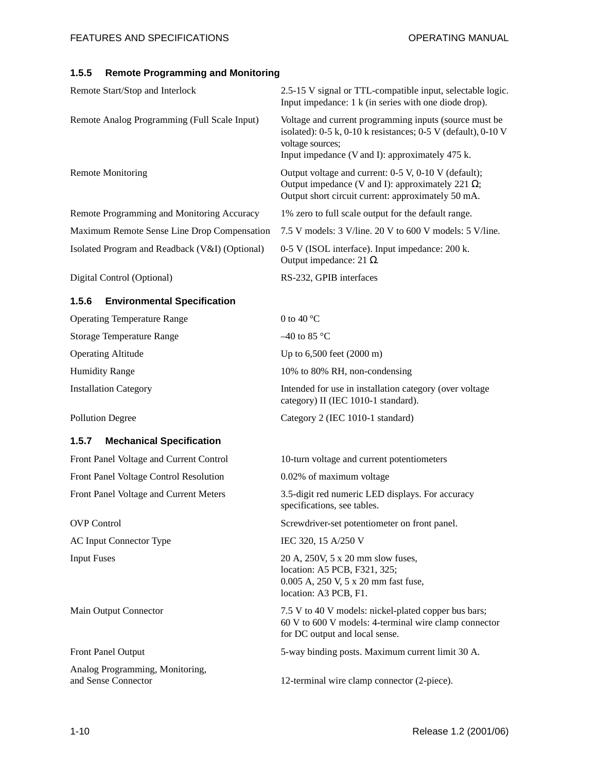#### **1.5.5 Remote Programming and Monitoring**

| Remote Start/Stop and Interlock                | 2.5-15 V signal or TTL-compatible input, selectable logic.<br>Input impedance: 1 k (in series with one diode drop).                                                                                     |
|------------------------------------------------|---------------------------------------------------------------------------------------------------------------------------------------------------------------------------------------------------------|
| Remote Analog Programming (Full Scale Input)   | Voltage and current programming inputs (source must be.<br>isolated): $0-5$ k, $0-10$ k resistances; $0-5$ V (default), $0-10$ V<br>voltage sources;<br>Input impedance (V and I): approximately 475 k. |
| <b>Remote Monitoring</b>                       | Output voltage and current: $0-5$ V, $0-10$ V (default);<br>Output impedance (V and I): approximately 221 $\Omega$ ;<br>Output short circuit current: approximately 50 mA.                              |
| Remote Programming and Monitoring Accuracy     | 1% zero to full scale output for the default range.                                                                                                                                                     |
| Maximum Remote Sense Line Drop Compensation    | 7.5 V models: 3 V/line. 20 V to 600 V models: 5 V/line.                                                                                                                                                 |
| Isolated Program and Readback (V&I) (Optional) | 0-5 V (ISOL interface). Input impedance: 200 k.<br>Output impedance: 21 $\Omega$ .                                                                                                                      |
| Digital Control (Optional)                     | RS-232, GPIB interfaces                                                                                                                                                                                 |

#### **1.5.6 Environmental Specification**

| <b>Operating Temperature Range</b> | 0 to 40 $^{\circ}$ C                                                                           |
|------------------------------------|------------------------------------------------------------------------------------------------|
| <b>Storage Temperature Range</b>   | $-40$ to 85 °C                                                                                 |
| <b>Operating Altitude</b>          | Up to $6,500$ feet $(2000 \text{ m})$                                                          |
| <b>Humidity Range</b>              | 10% to 80% RH, non-condensing                                                                  |
| <b>Installation Category</b>       | Intended for use in installation category (over voltage<br>category) II (IEC 1010-1 standard). |

Pollution Degree Category 2 (IEC 1010-1 standard)

#### **1.5.7 Mechanical Specification**

Front Panel Voltage Control Resolution 0.02% of maximum voltage

AC Input Connector Type IEC 320, 15 A/250 V

Analog Programming, Monitoring,

Front Panel Voltage and Current Control 10-turn voltage and current potentiometers

Front Panel Voltage and Current Meters 3.5-digit red numeric LED displays. For accuracy specifications, see tables.

OVP Control Screwdriver-set potentiometer on front panel.

Input Fuses 20 A, 250V, 5 x 20 mm slow fuses, location: A5 PCB, F321, 325; 0.005 A, 250 V, 5 x 20 mm fast fuse, location: A3 PCB, F1.

Main Output Connector 7.5 V to 40 V models: nickel-plated copper bus bars; 60 V to 600 V models: 4-terminal wire clamp connector for DC output and local sense.

Front Panel Output 5-way binding posts. Maximum current limit 30 A.

and Sense Connector 12-terminal wire clamp connector (2-piece).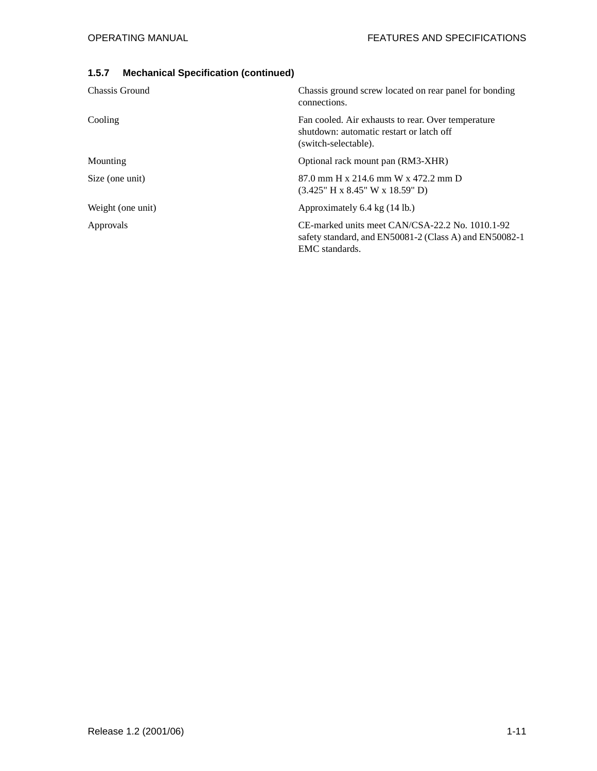### **1.5.7 Mechanical Specification (continued)**

| Chassis Ground    | Chassis ground screw located on rear panel for bonding<br>connections.                                                      |
|-------------------|-----------------------------------------------------------------------------------------------------------------------------|
| Cooling           | Fan cooled. Air exhausts to rear. Over temperature<br>shutdown: automatic restart or latch off<br>(switch-selectable).      |
| Mounting          | Optional rack mount pan (RM3-XHR)                                                                                           |
| Size (one unit)   | 87.0 mm H x 214.6 mm W x 472.2 mm D<br>(3.425" H x 8.45" W x 18.59" D)                                                      |
| Weight (one unit) | Approximately 6.4 kg (14 lb.)                                                                                               |
| Approvals         | CE-marked units meet CAN/CSA-22.2 No. 1010.1-92<br>safety standard, and EN50081-2 (Class A) and EN50082-1<br>EMC standards. |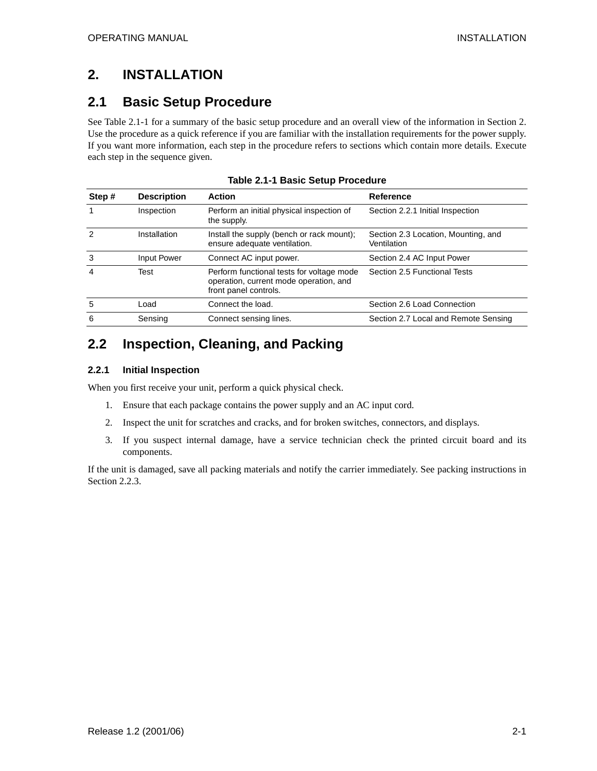# **2. INSTALLATION**

### **2.1 Basic Setup Procedure**

See Table 2.1-1 for a summary of the basic setup procedure and an overall view of the information in Section 2. Use the procedure as a quick reference if you are familiar with the installation requirements for the power supply. If you want more information, each step in the procedure refers to sections which contain more details. Execute each step in the sequence given.

| Step# | <b>Description</b> | <b>Action</b>                                                                                                | <b>Reference</b>                                   |
|-------|--------------------|--------------------------------------------------------------------------------------------------------------|----------------------------------------------------|
|       | Inspection         | Perform an initial physical inspection of<br>the supply.                                                     | Section 2.2.1 Initial Inspection                   |
| 2     | Installation       | Install the supply (bench or rack mount);<br>ensure adequate ventilation.                                    | Section 2.3 Location, Mounting, and<br>Ventilation |
| 3     | Input Power        | Connect AC input power.                                                                                      | Section 2.4 AC Input Power                         |
| 4     | Test               | Perform functional tests for voltage mode<br>operation, current mode operation, and<br>front panel controls. | Section 2.5 Functional Tests                       |
| 5     | Load               | Connect the load.                                                                                            | Section 2.6 Load Connection                        |
| 6     | Sensing            | Connect sensing lines.                                                                                       | Section 2.7 Local and Remote Sensing               |

**Table 2.1-1 Basic Setup Procedure**

### **2.2 Inspection, Cleaning, and Packing**

#### **2.2.1 Initial Inspection**

When you first receive your unit, perform a quick physical check.

- 1. Ensure that each package contains the power supply and an AC input cord.
- 2. Inspect the unit for scratches and cracks, and for broken switches, connectors, and displays.
- 3. If you suspect internal damage, have a service technician check the printed circuit board and its components.

If the unit is damaged, save all packing materials and notify the carrier immediately. See packing instructions in Section 2.2.3.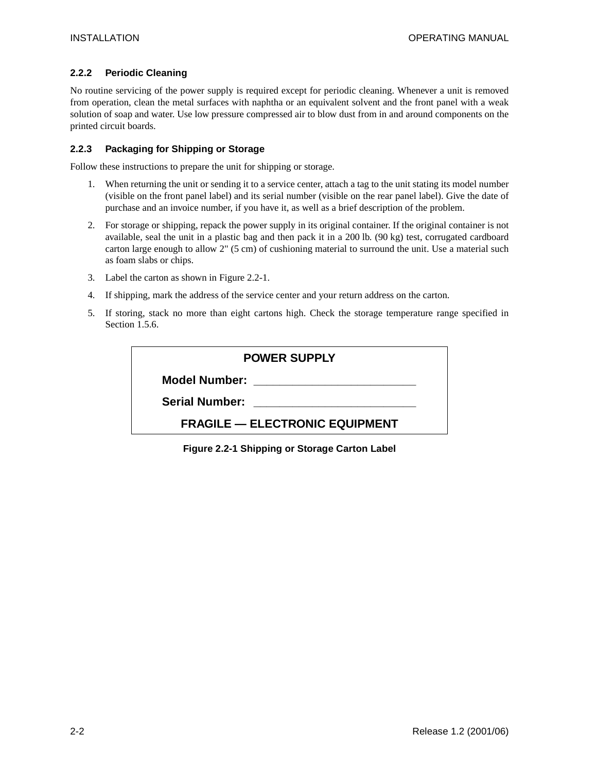#### **2.2.2 Periodic Cleaning**

No routine servicing of the power supply is required except for periodic cleaning. Whenever a unit is removed from operation, clean the metal surfaces with naphtha or an equivalent solvent and the front panel with a weak solution of soap and water. Use low pressure compressed air to blow dust from in and around components on the printed circuit boards.

#### **2.2.3 Packaging for Shipping or Storage**

Follow these instructions to prepare the unit for shipping or storage.

- 1. When returning the unit or sending it to a service center, attach a tag to the unit stating its model number (visible on the front panel label) and its serial number (visible on the rear panel label). Give the date of purchase and an invoice number, if you have it, as well as a brief description of the problem.
- 2. For storage or shipping, repack the power supply in its original container. If the original container is not available, seal the unit in a plastic bag and then pack it in a 200 lb. (90 kg) test, corrugated cardboard carton large enough to allow 2" (5 cm) of cushioning material to surround the unit. Use a material such as foam slabs or chips.
- 3. Label the carton as shown in Figure 2.2-1.
- 4. If shipping, mark the address of the service center and your return address on the carton.
- 5. If storing, stack no more than eight cartons high. Check the storage temperature range specified in Section 1.5.6.

| <b>Model Number:</b><br>Serial Number: | <b>POWER SUPPLY</b> |  |  |
|----------------------------------------|---------------------|--|--|
|                                        |                     |  |  |
|                                        |                     |  |  |
| <b>FRAGILE — ELECTRONIC EQUIPMENT</b>  |                     |  |  |

**Figure 2.2-1 Shipping or Storage Carton Label**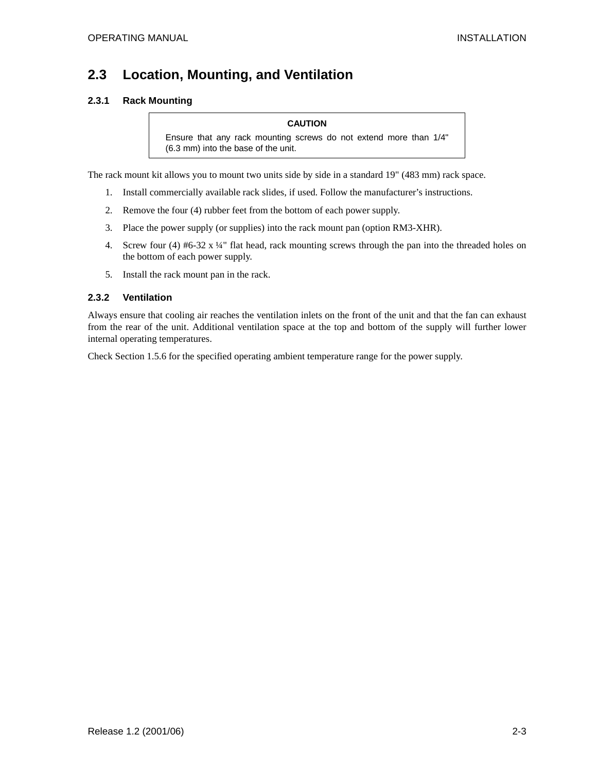### **2.3 Location, Mounting, and Ventilation**

#### **2.3.1 Rack Mounting**

#### **CAUTION**

Ensure that any rack mounting screws do not extend more than 1/4" (6.3 mm) into the base of the unit.

The rack mount kit allows you to mount two units side by side in a standard 19" (483 mm) rack space.

- 1. Install commercially available rack slides, if used. Follow the manufacturer's instructions.
- 2. Remove the four (4) rubber feet from the bottom of each power supply.
- 3. Place the power supply (or supplies) into the rack mount pan (option RM3-XHR).
- 4. Screw four (4) #6-32 x ¼" flat head, rack mounting screws through the pan into the threaded holes on the bottom of each power supply.
- 5. Install the rack mount pan in the rack.

#### **2.3.2 Ventilation**

Always ensure that cooling air reaches the ventilation inlets on the front of the unit and that the fan can exhaust from the rear of the unit. Additional ventilation space at the top and bottom of the supply will further lower internal operating temperatures.

Check Section 1.5.6 for the specified operating ambient temperature range for the power supply.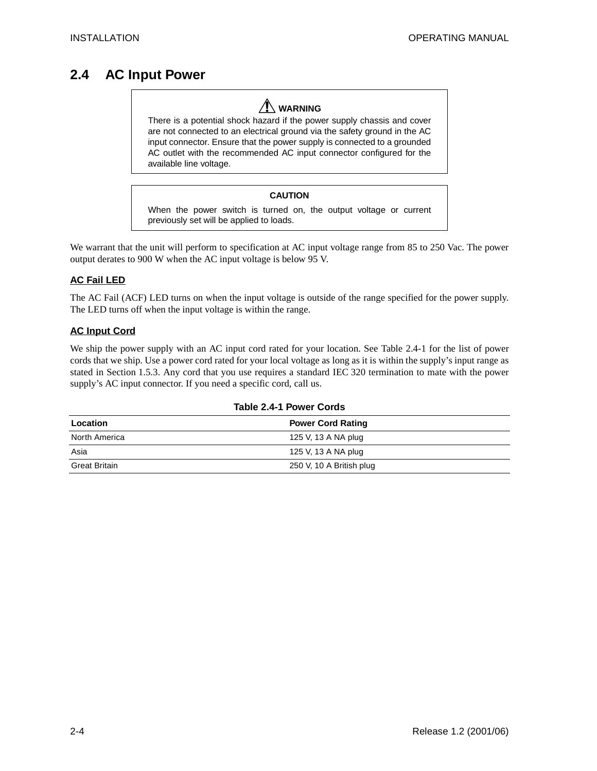### **2.4 AC Input Power**

# **WARNING**

There is a potential shock hazard if the power supply chassis and cover are not connected to an electrical ground via the safety ground in the AC input connector. Ensure that the power supply is connected to a grounded AC outlet with the recommended AC input connector configured for the available line voltage.

#### **CAUTION**

When the power switch is turned on, the output voltage or current previously set will be applied to loads.

We warrant that the unit will perform to specification at AC input voltage range from 85 to 250 Vac. The power output derates to 900 W when the AC input voltage is below 95 V.

#### **AC Fail LED**

The AC Fail (ACF) LED turns on when the input voltage is outside of the range specified for the power supply. The LED turns off when the input voltage is within the range.

#### **AC Input Cord**

We ship the power supply with an AC input cord rated for your location. See Table 2.4-1 for the list of power cords that we ship. Use a power cord rated for your local voltage as long as it is within the supply's input range as stated in Section 1.5.3. Any cord that you use requires a standard IEC 320 termination to mate with the power supply's AC input connector. If you need a specific cord, call us.

| Table 2.4-1 Power Cords |                          |  |
|-------------------------|--------------------------|--|
| Location                | <b>Power Cord Rating</b> |  |
| North America           | 125 V, 13 A NA plug      |  |
| Asia                    | 125 V, 13 A NA plug      |  |
| <b>Great Britain</b>    | 250 V, 10 A British plug |  |

#### 2-4 Release 1.2 (2001/06)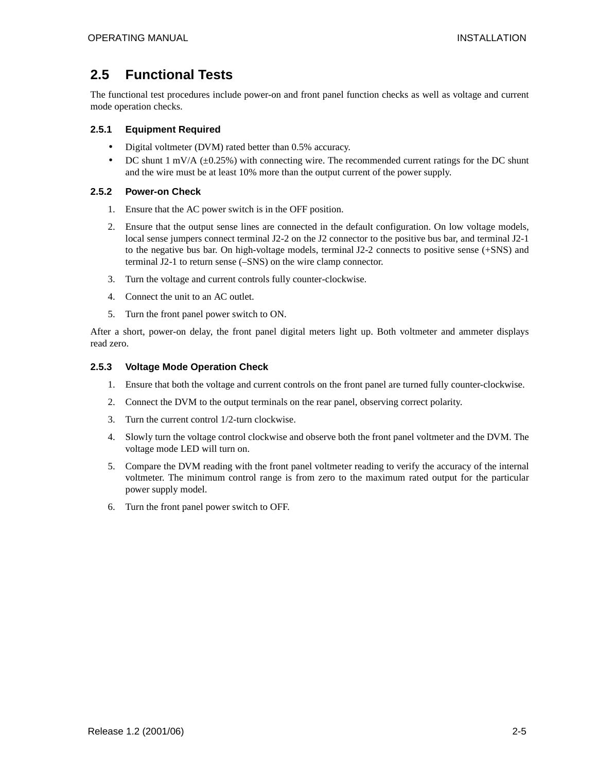# **2.5 Functional Tests**

The functional test procedures include power-on and front panel function checks as well as voltage and current mode operation checks.

#### **2.5.1 Equipment Required**

- Digital voltmeter (DVM) rated better than 0.5% accuracy.
- DC shunt 1 mV/A  $(\pm 0.25\%)$  with connecting wire. The recommended current ratings for the DC shunt and the wire must be at least 10% more than the output current of the power supply.

#### **2.5.2 Power-on Check**

- 1. Ensure that the AC power switch is in the OFF position.
- 2. Ensure that the output sense lines are connected in the default configuration. On low voltage models, local sense jumpers connect terminal J2-2 on the J2 connector to the positive bus bar, and terminal J2-1 to the negative bus bar. On high-voltage models, terminal J2-2 connects to positive sense (+SNS) and terminal J2-1 to return sense (–SNS) on the wire clamp connector.
- 3. Turn the voltage and current controls fully counter-clockwise.
- 4. Connect the unit to an AC outlet.
- 5. Turn the front panel power switch to ON.

After a short, power-on delay, the front panel digital meters light up. Both voltmeter and ammeter displays read zero.

#### **2.5.3 Voltage Mode Operation Check**

- 1. Ensure that both the voltage and current controls on the front panel are turned fully counter-clockwise.
- 2. Connect the DVM to the output terminals on the rear panel, observing correct polarity.
- 3. Turn the current control 1/2-turn clockwise.
- 4. Slowly turn the voltage control clockwise and observe both the front panel voltmeter and the DVM. The voltage mode LED will turn on.
- 5. Compare the DVM reading with the front panel voltmeter reading to verify the accuracy of the internal voltmeter. The minimum control range is from zero to the maximum rated output for the particular power supply model.
- 6. Turn the front panel power switch to OFF.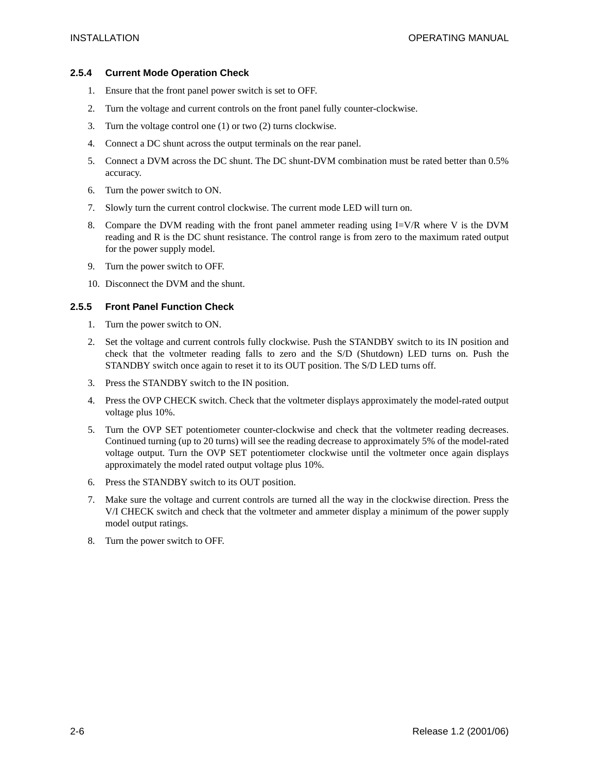#### **2.5.4 Current Mode Operation Check**

- 1. Ensure that the front panel power switch is set to OFF.
- 2. Turn the voltage and current controls on the front panel fully counter-clockwise.
- 3. Turn the voltage control one (1) or two (2) turns clockwise.
- 4. Connect a DC shunt across the output terminals on the rear panel.
- 5. Connect a DVM across the DC shunt. The DC shunt-DVM combination must be rated better than 0.5% accuracy.
- 6. Turn the power switch to ON.
- 7. Slowly turn the current control clockwise. The current mode LED will turn on.
- 8. Compare the DVM reading with the front panel ammeter reading using I=V/R where V is the DVM reading and R is the DC shunt resistance. The control range is from zero to the maximum rated output for the power supply model.
- 9. Turn the power switch to OFF.
- 10. Disconnect the DVM and the shunt.

#### **2.5.5 Front Panel Function Check**

- 1. Turn the power switch to ON.
- 2. Set the voltage and current controls fully clockwise. Push the STANDBY switch to its IN position and check that the voltmeter reading falls to zero and the S/D (Shutdown) LED turns on. Push the STANDBY switch once again to reset it to its OUT position. The S/D LED turns off.
- 3. Press the STANDBY switch to the IN position.
- 4. Press the OVP CHECK switch. Check that the voltmeter displays approximately the model-rated output voltage plus 10%.
- 5. Turn the OVP SET potentiometer counter-clockwise and check that the voltmeter reading decreases. Continued turning (up to 20 turns) will see the reading decrease to approximately 5% of the model-rated voltage output. Turn the OVP SET potentiometer clockwise until the voltmeter once again displays approximately the model rated output voltage plus 10%.
- 6. Press the STANDBY switch to its OUT position.
- 7. Make sure the voltage and current controls are turned all the way in the clockwise direction. Press the V/I CHECK switch and check that the voltmeter and ammeter display a minimum of the power supply model output ratings.
- 8. Turn the power switch to OFF.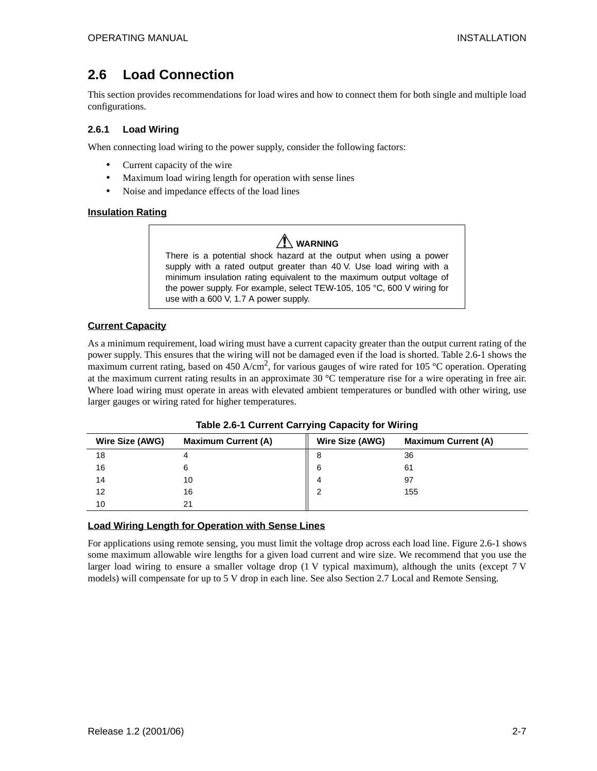# **2.6 Load Connection**

This section provides recommendations for load wires and how to connect them for both single and multiple load configurations.

#### **2.6.1 Load Wiring**

When connecting load wiring to the power supply, consider the following factors:

- Current capacity of the wire
- Maximum load wiring length for operation with sense lines
- Noise and impedance effects of the load lines

#### **Insulation Rating**

### **WARNING**

There is a potential shock hazard at the output when using a power supply with a rated output greater than 40 V. Use load wiring with a minimum insulation rating equivalent to the maximum output voltage of the power supply. For example, select TEW-105, 105 °C, 600 V wiring for use with a 600 V, 1.7 A power supply.

#### **Current Capacity**

As a minimum requirement, load wiring must have a current capacity greater than the output current rating of the power supply. This ensures that the wiring will not be damaged even if the load is shorted. Table 2.6-1 shows the maximum current rating, based on 450  $A/cm^2$ , for various gauges of wire rated for 105 °C operation. Operating at the maximum current rating results in an approximate 30 °C temperature rise for a wire operating in free air. Where load wiring must operate in areas with elevated ambient temperatures or bundled with other wiring, use larger gauges or wiring rated for higher temperatures.

| Wire Size (AWG) | <b>Maximum Current (A)</b> | Wire Size (AWG) | <b>Maximum Current (A)</b> |
|-----------------|----------------------------|-----------------|----------------------------|
| 18              |                            |                 | 36                         |
| 16              | 6                          | 6               | 61                         |
| 14              | 10                         |                 | 97                         |
| 12              | 16                         |                 | 155                        |
| 10              | 21                         |                 |                            |

**Table 2.6-1 Current Carrying Capacity for Wiring** 

#### **Load Wiring Length for Operation with Sense Lines**

For applications using remote sensing, you must limit the voltage drop across each load line. Figure 2.6-1 shows some maximum allowable wire lengths for a given load current and wire size. We recommend that you use the larger load wiring to ensure a smaller voltage drop (1 V typical maximum), although the units (except 7 V models) will compensate for up to 5 V drop in each line. See also Section 2.7 Local and Remote Sensing.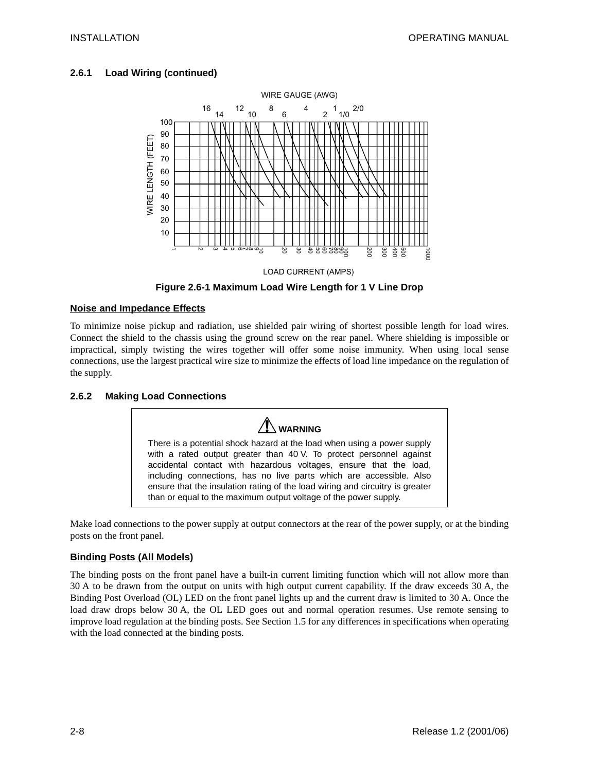#### **2.6.1 Load Wiring (continued)**



LOAD CURRENT (AMPS)

**Figure 2.6-1 Maximum Load Wire Length for 1 V Line Drop**

#### **Noise and Impedance Effects**

To minimize noise pickup and radiation, use shielded pair wiring of shortest possible length for load wires. Connect the shield to the chassis using the ground screw on the rear panel. Where shielding is impossible or impractical, simply twisting the wires together will offer some noise immunity. When using local sense connections, use the largest practical wire size to minimize the effects of load line impedance on the regulation of the supply.

#### **2.6.2 Making Load Connections**

 **WARNING** There is a potential shock hazard at the load when using a power supply with a rated output greater than 40 V. To protect personnel against accidental contact with hazardous voltages, ensure that the load, including connections, has no live parts which are accessible. Also ensure that the insulation rating of the load wiring and circuitry is greater than or equal to the maximum output voltage of the power supply.

Make load connections to the power supply at output connectors at the rear of the power supply, or at the binding posts on the front panel.

#### **Binding Posts (All Models)**

The binding posts on the front panel have a built-in current limiting function which will not allow more than 30 A to be drawn from the output on units with high output current capability. If the draw exceeds 30 A, the Binding Post Overload (OL) LED on the front panel lights up and the current draw is limited to 30 A. Once the load draw drops below 30 A, the OL LED goes out and normal operation resumes. Use remote sensing to improve load regulation at the binding posts. See Section 1.5 for any differences in specifications when operating with the load connected at the binding posts.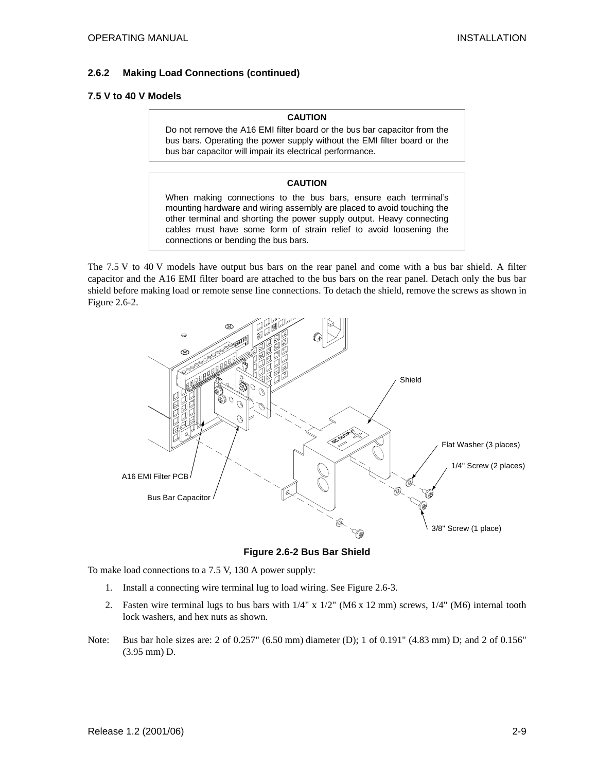#### **2.6.2 Making Load Connections (continued)**

#### **7.5 V to 40 V Models**

#### **CAUTION**

Do not remove the A16 EMI filter board or the bus bar capacitor from the bus bars. Operating the power supply without the EMI filter board or the bus bar capacitor will impair its electrical performance.

#### **CAUTION**

When making connections to the bus bars, ensure each terminal's mounting hardware and wiring assembly are placed to avoid touching the other terminal and shorting the power supply output. Heavy connecting cables must have some form of strain relief to avoid loosening the connections or bending the bus bars.

The 7.5 V to 40 V models have output bus bars on the rear panel and come with a bus bar shield. A filter capacitor and the A16 EMI filter board are attached to the bus bars on the rear panel. Detach only the bus bar shield before making load or remote sense line connections. To detach the shield, remove the screws as shown in Figure 2.6-2.



**Figure 2.6-2 Bus Bar Shield**

To make load connections to a 7.5 V, 130 A power supply:

- 1. Install a connecting wire terminal lug to load wiring. See Figure 2.6-3.
- 2. Fasten wire terminal lugs to bus bars with 1/4" x 1/2" (M6 x 12 mm) screws, 1/4" (M6) internal tooth lock washers, and hex nuts as shown.
- Note: Bus bar hole sizes are: 2 of 0.257" (6.50 mm) diameter (D); 1 of 0.191" (4.83 mm) D; and 2 of 0.156" (3.95 mm) D.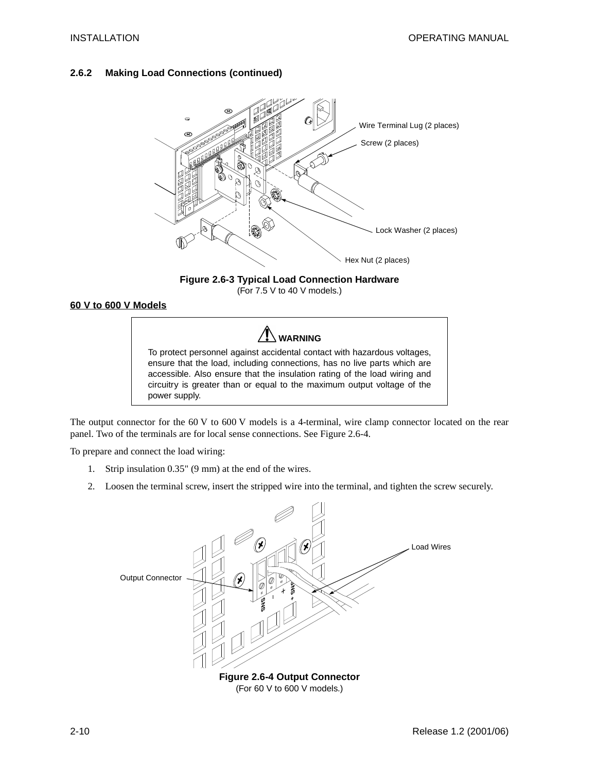#### **2.6.2 Making Load Connections (continued)**



**Figure 2.6-3 Typical Load Connection Hardware** (For 7.5 V to 40 V models.)

#### **60 V to 600 V Models**



The output connector for the 60 V to 600 V models is a 4-terminal, wire clamp connector located on the rear panel. Two of the terminals are for local sense connections. See Figure 2.6-4.

To prepare and connect the load wiring:

- 1. Strip insulation 0.35" (9 mm) at the end of the wires.
- 2. Loosen the terminal screw, insert the stripped wire into the terminal, and tighten the screw securely.

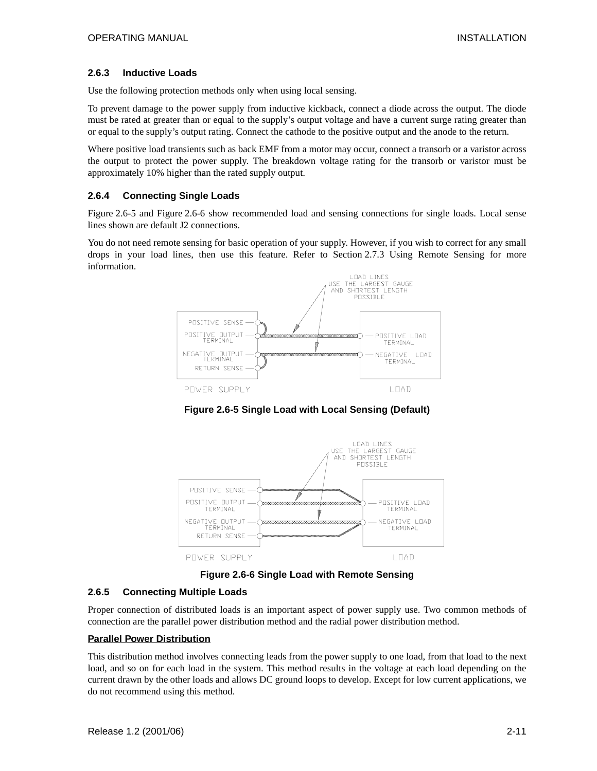#### **2.6.3 Inductive Loads**

Use the following protection methods only when using local sensing.

To prevent damage to the power supply from inductive kickback, connect a diode across the output. The diode must be rated at greater than or equal to the supply's output voltage and have a current surge rating greater than or equal to the supply's output rating. Connect the cathode to the positive output and the anode to the return.

Where positive load transients such as back EMF from a motor may occur, connect a transorb or a varistor across the output to protect the power supply. The breakdown voltage rating for the transorb or varistor must be approximately 10% higher than the rated supply output.

#### **2.6.4 Connecting Single Loads**

Figure 2.6-5 and Figure 2.6-6 show recommended load and sensing connections for single loads. Local sense lines shown are default J2 connections.

You do not need remote sensing for basic operation of your supply. However, if you wish to correct for any small drops in your load lines, then use this feature. Refer to Section 2.7.3 Using Remote Sensing for more information.



**Figure 2.6-5 Single Load with Local Sensing (Default)**



**Figure 2.6-6 Single Load with Remote Sensing**

#### **2.6.5 Connecting Multiple Loads**

Proper connection of distributed loads is an important aspect of power supply use. Two common methods of connection are the parallel power distribution method and the radial power distribution method.

#### **Parallel Power Distribution**

This distribution method involves connecting leads from the power supply to one load, from that load to the next load, and so on for each load in the system. This method results in the voltage at each load depending on the current drawn by the other loads and allows DC ground loops to develop. Except for low current applications, we do not recommend using this method.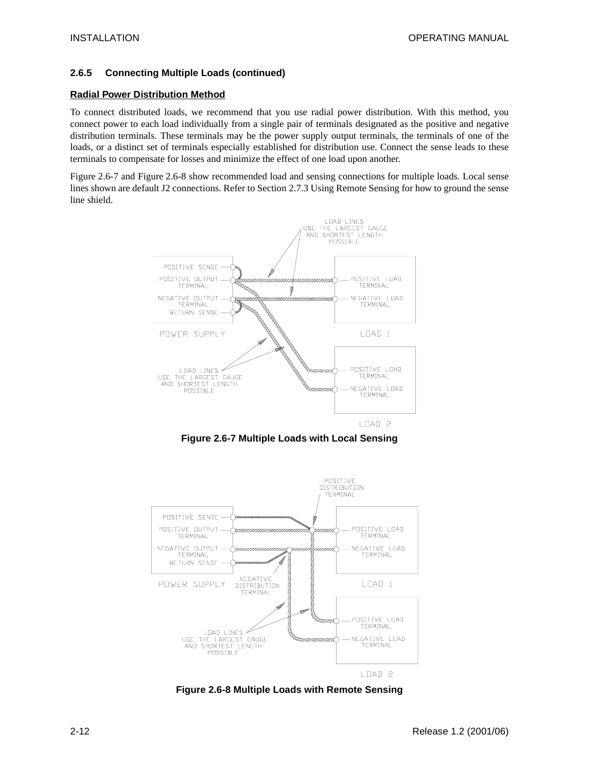#### **2.6.5 Connecting Multiple Loads (continued)**

#### **Radial Power Distribution Method**

To connect distributed loads, we recommend that you use radial power distribution. With this method, you connect power to each load individually from a single pair of terminals designated as the positive and negative distribution terminals. These terminals may be the power supply output terminals, the terminals of one of the loads, or a distinct set of terminals especially established for distribution use. Connect the sense leads to these terminals to compensate for losses and minimize the effect of one load upon another.

Figure 2.6-7 and Figure 2.6-8 show recommended load and sensing connections for multiple loads. Local sense lines shown are default J2 connections. Refer to Section 2.7.3 Using Remote Sensing for how to ground the sense line shield.



**Figure 2.6-7 Multiple Loads with Local Sensing**



**Figure 2.6-8 Multiple Loads with Remote Sensing**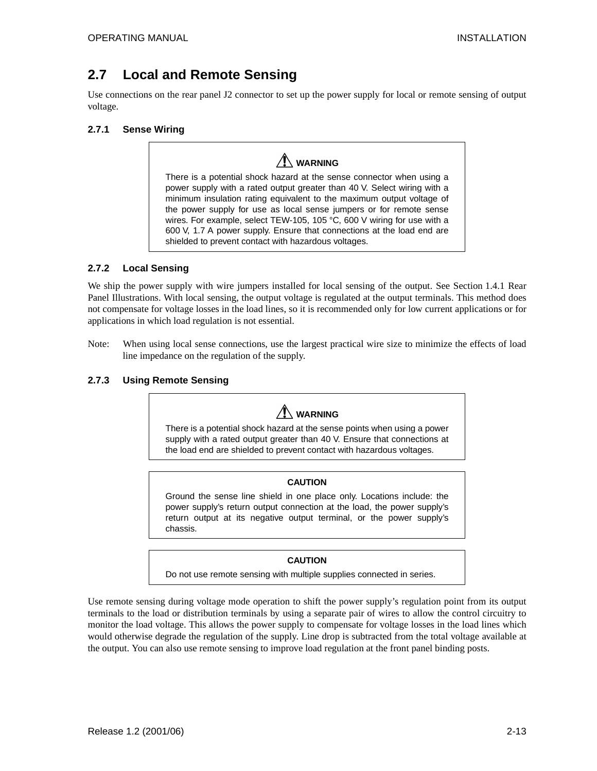# **2.7 Local and Remote Sensing**

Use connections on the rear panel J2 connector to set up the power supply for local or remote sensing of output voltage.

#### **2.7.1 Sense Wiring**

# **WARNING**

There is a potential shock hazard at the sense connector when using a power supply with a rated output greater than 40 V. Select wiring with a minimum insulation rating equivalent to the maximum output voltage of the power supply for use as local sense jumpers or for remote sense wires. For example, select TEW-105, 105 °C, 600 V wiring for use with a 600 V, 1.7 A power supply. Ensure that connections at the load end are shielded to prevent contact with hazardous voltages.

#### **2.7.2 Local Sensing**

We ship the power supply with wire jumpers installed for local sensing of the output. See Section 1.4.1 Rear Panel Illustrations. With local sensing, the output voltage is regulated at the output terminals. This method does not compensate for voltage losses in the load lines, so it is recommended only for low current applications or for applications in which load regulation is not essential.

Note: When using local sense connections, use the largest practical wire size to minimize the effects of load line impedance on the regulation of the supply.

#### **2.7.3 Using Remote Sensing**

# **WARNING** There is a potential shock hazard at the sense points when using a power supply with a rated output greater than 40 V. Ensure that connections at the load end are shielded to prevent contact with hazardous voltages.

#### **CAUTION**

Ground the sense line shield in one place only. Locations include: the power supply's return output connection at the load, the power supply's return output at its negative output terminal, or the power supply's chassis.

#### **CAUTION**

Do not use remote sensing with multiple supplies connected in series.

Use remote sensing during voltage mode operation to shift the power supply's regulation point from its output terminals to the load or distribution terminals by using a separate pair of wires to allow the control circuitry to monitor the load voltage. This allows the power supply to compensate for voltage losses in the load lines which would otherwise degrade the regulation of the supply. Line drop is subtracted from the total voltage available at the output. You can also use remote sensing to improve load regulation at the front panel binding posts.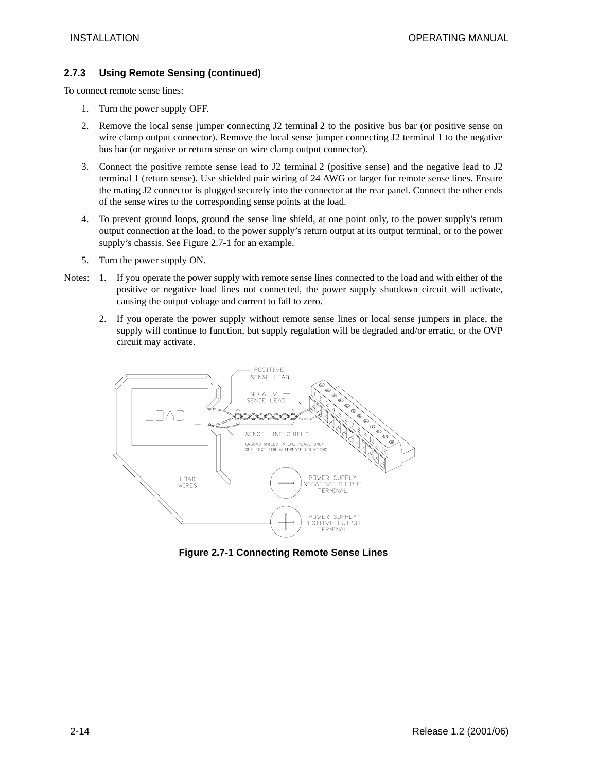#### **2.7.3 Using Remote Sensing (continued)**

To connect remote sense lines:

- 1. Turn the power supply OFF.
- 2. Remove the local sense jumper connecting J2 terminal 2 to the positive bus bar (or positive sense on wire clamp output connector). Remove the local sense jumper connecting J2 terminal 1 to the negative bus bar (or negative or return sense on wire clamp output connector).
- 3. Connect the positive remote sense lead to J2 terminal 2 (positive sense) and the negative lead to J2 terminal 1 (return sense). Use shielded pair wiring of 24 AWG or larger for remote sense lines. Ensure the mating J2 connector is plugged securely into the connector at the rear panel. Connect the other ends of the sense wires to the corresponding sense points at the load.
- 4. To prevent ground loops, ground the sense line shield, at one point only, to the power supply's return output connection at the load, to the power supply's return output at its output terminal, or to the power supply's chassis. See Figure 2.7-1 for an example.
- 5. Turn the power supply ON.
- Notes: 1. If you operate the power supply with remote sense lines connected to the load and with either of the positive or negative load lines not connected, the power supply shutdown circuit will activate, causing the output voltage and current to fall to zero.
	- 2. If you operate the power supply without remote sense lines or local sense jumpers in place, the supply will continue to function, but supply regulation will be degraded and/or erratic, or the OVP circuit may activate.



**Figure 2.7-1 Connecting Remote Sense Lines**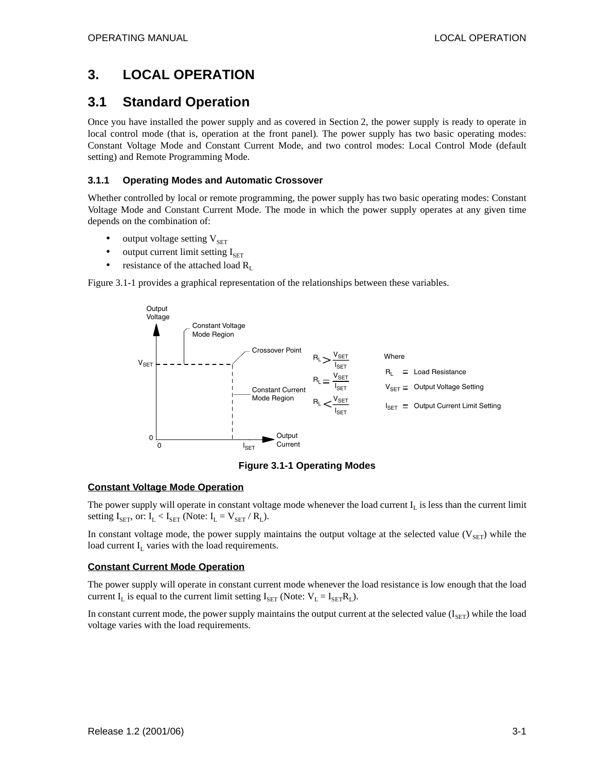# **3. LOCAL OPERATION**

### **3.1 Standard Operation**

Once you have installed the power supply and as covered in Section 2, the power supply is ready to operate in local control mode (that is, operation at the front panel). The power supply has two basic operating modes: Constant Voltage Mode and Constant Current Mode, and two control modes: Local Control Mode (default setting) and Remote Programming Mode.

#### **3.1.1 Operating Modes and Automatic Crossover**

Whether controlled by local or remote programming, the power supply has two basic operating modes: Constant Voltage Mode and Constant Current Mode. The mode in which the power supply operates at any given time depends on the combination of:

- output voltage setting  $V_{\text{SET}}$
- output current limit setting  $I_{\text{SET}}$
- resistance of the attached load  $R_L$

Figure 3.1-1 provides a graphical representation of the relationships between these variables.



**Figure 3.1-1 Operating Modes**

#### **Constant Voltage Mode Operation**

The power supply will operate in constant voltage mode whenever the load current  $I<sub>L</sub>$  is less than the current limit setting  $I_{\text{SET}}$ , or:  $I_L < I_{\text{SET}}$  (Note:  $I_L = V_{\text{SET}} / R_L$ ).

In constant voltage mode, the power supply maintains the output voltage at the selected value ( $V_{\text{SET}}$ ) while the load current  $I_L$  varies with the load requirements.

#### **Constant Current Mode Operation**

The power supply will operate in constant current mode whenever the load resistance is low enough that the load current I<sub>L</sub> is equal to the current limit setting I<sub>SET</sub> (Note:  $V_L = I_{SET}R_L$ ).

In constant current mode, the power supply maintains the output current at the selected value  $(I_{\rm SET})$  while the load voltage varies with the load requirements.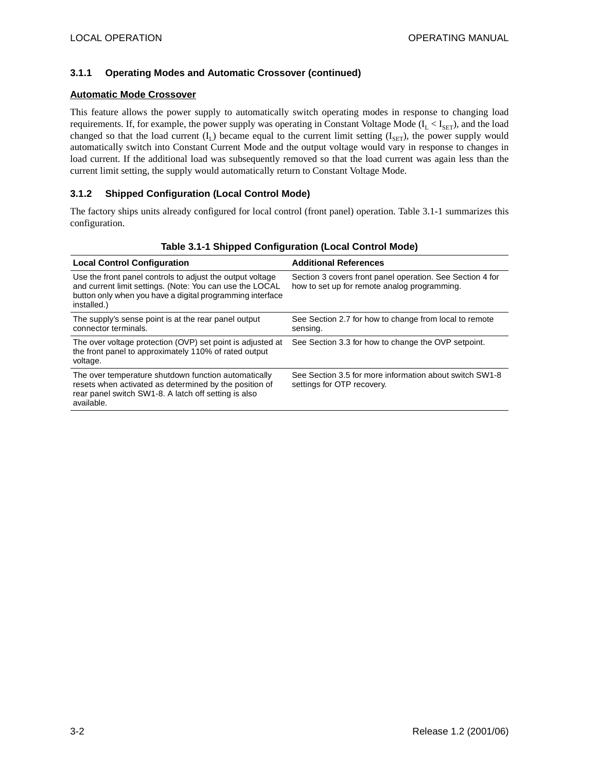#### **3.1.1 Operating Modes and Automatic Crossover (continued)**

#### **Automatic Mode Crossover**

This feature allows the power supply to automatically switch operating modes in response to changing load requirements. If, for example, the power supply was operating in Constant Voltage Mode  $(I_L < I_{SET})$ , and the load changed so that the load current  $(I_L)$  became equal to the current limit setting  $(I_{\text{SET}})$ , the power supply would automatically switch into Constant Current Mode and the output voltage would vary in response to changes in load current. If the additional load was subsequently removed so that the load current was again less than the current limit setting, the supply would automatically return to Constant Voltage Mode.

#### **3.1.2 Shipped Configuration (Local Control Mode)**

The factory ships units already configured for local control (front panel) operation. Table 3.1-1 summarizes this configuration.

| <b>Local Control Configuration</b>                                                                                                                                                                | <b>Additional References</b>                                                                              |
|---------------------------------------------------------------------------------------------------------------------------------------------------------------------------------------------------|-----------------------------------------------------------------------------------------------------------|
| Use the front panel controls to adjust the output voltage<br>and current limit settings. (Note: You can use the LOCAL<br>button only when you have a digital programming interface<br>installed.) | Section 3 covers front panel operation. See Section 4 for<br>how to set up for remote analog programming. |
| The supply's sense point is at the rear panel output<br>connector terminals.                                                                                                                      | See Section 2.7 for how to change from local to remote<br>sensing.                                        |
| The over voltage protection (OVP) set point is adjusted at<br>the front panel to approximately 110% of rated output<br>voltage.                                                                   | See Section 3.3 for how to change the OVP setpoint.                                                       |
| The over temperature shutdown function automatically<br>resets when activated as determined by the position of<br>rear panel switch SW1-8. A latch off setting is also<br>available.              | See Section 3.5 for more information about switch SW1-8<br>settings for OTP recovery.                     |

#### **Table 3.1-1 Shipped Configuration (Local Control Mode)**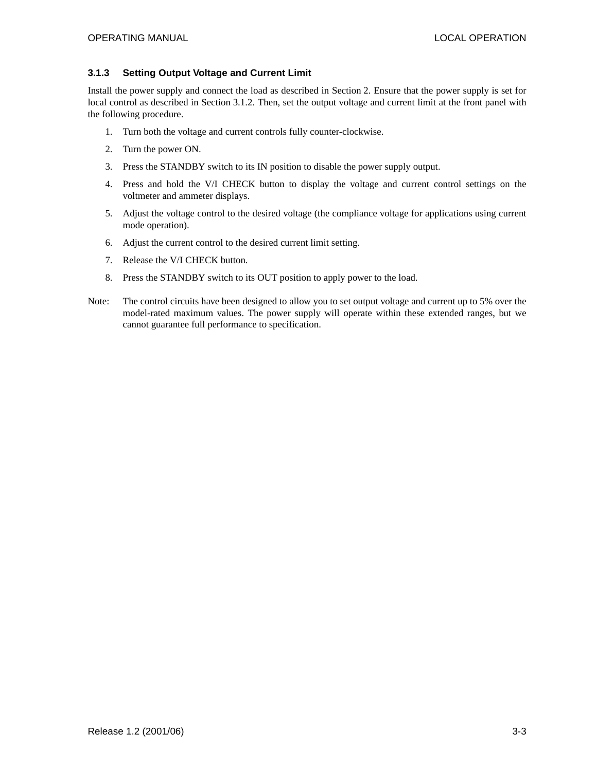#### **3.1.3 Setting Output Voltage and Current Limit**

Install the power supply and connect the load as described in Section 2. Ensure that the power supply is set for local control as described in Section 3.1.2. Then, set the output voltage and current limit at the front panel with the following procedure.

- 1. Turn both the voltage and current controls fully counter-clockwise.
- 2. Turn the power ON.
- 3. Press the STANDBY switch to its IN position to disable the power supply output.
- 4. Press and hold the V/I CHECK button to display the voltage and current control settings on the voltmeter and ammeter displays.
- 5. Adjust the voltage control to the desired voltage (the compliance voltage for applications using current mode operation).
- 6. Adjust the current control to the desired current limit setting.
- 7. Release the V/I CHECK button.
- 8. Press the STANDBY switch to its OUT position to apply power to the load.
- Note: The control circuits have been designed to allow you to set output voltage and current up to 5% over the model-rated maximum values. The power supply will operate within these extended ranges, but we cannot guarantee full performance to specification.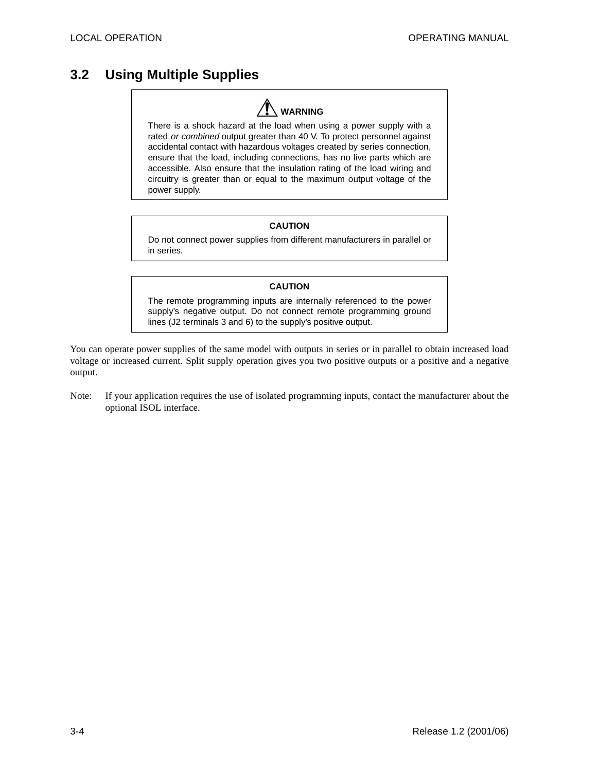# **3.2 Using Multiple Supplies**

# **WARNING**

There is a shock hazard at the load when using a power supply with a rated or combined output greater than 40 V. To protect personnel against accidental contact with hazardous voltages created by series connection, ensure that the load, including connections, has no live parts which are accessible. Also ensure that the insulation rating of the load wiring and circuitry is greater than or equal to the maximum output voltage of the power supply.

#### **CAUTION**

Do not connect power supplies from different manufacturers in parallel or in series.

#### **CAUTION**

The remote programming inputs are internally referenced to the power supply's negative output. Do not connect remote programming ground lines (J2 terminals 3 and 6) to the supply's positive output.

You can operate power supplies of the same model with outputs in series or in parallel to obtain increased load voltage or increased current. Split supply operation gives you two positive outputs or a positive and a negative output.

Note: If your application requires the use of isolated programming inputs, contact the manufacturer about the optional ISOL interface.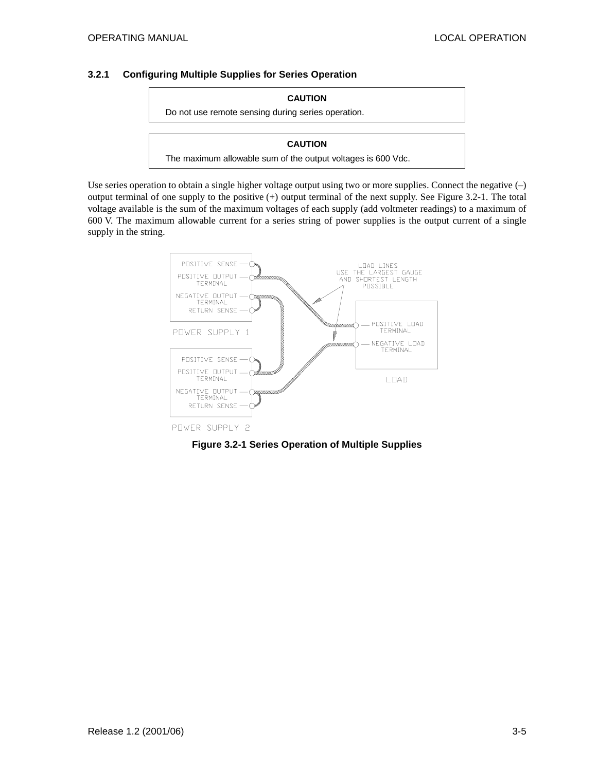#### **3.2.1 Configuring Multiple Supplies for Series Operation**

#### **CAUTION**

Do not use remote sensing during series operation.

#### **CAUTION**

The maximum allowable sum of the output voltages is 600 Vdc.

Use series operation to obtain a single higher voltage output using two or more supplies. Connect the negative  $(-)$ output terminal of one supply to the positive (+) output terminal of the next supply. See Figure 3.2-1. The total voltage available is the sum of the maximum voltages of each supply (add voltmeter readings) to a maximum of 600 V. The maximum allowable current for a series string of power supplies is the output current of a single supply in the string.



POWER SUPPLY 2

#### **Figure 3.2-1 Series Operation of Multiple Supplies**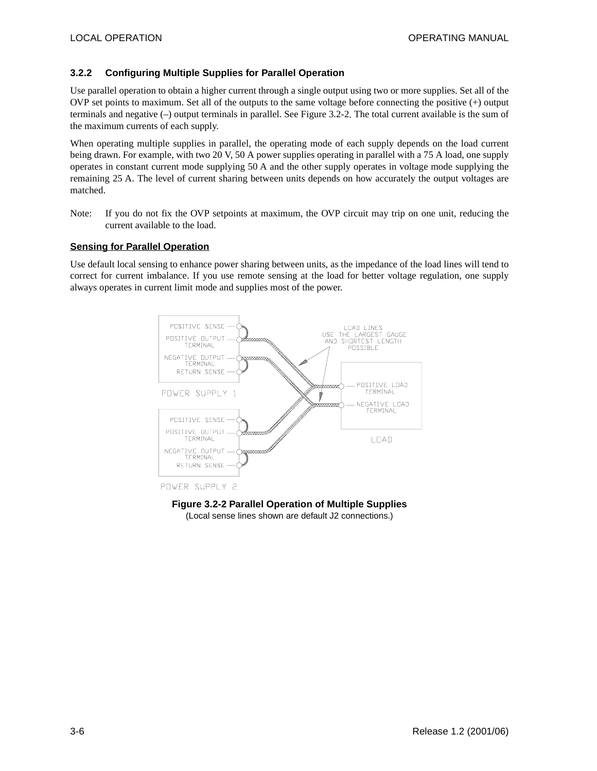#### **3.2.2 Configuring Multiple Supplies for Parallel Operation**

Use parallel operation to obtain a higher current through a single output using two or more supplies. Set all of the OVP set points to maximum. Set all of the outputs to the same voltage before connecting the positive (+) output terminals and negative (–) output terminals in parallel. See Figure 3.2-2. The total current available is the sum of the maximum currents of each supply.

When operating multiple supplies in parallel, the operating mode of each supply depends on the load current being drawn. For example, with two 20 V, 50 A power supplies operating in parallel with a 75 A load, one supply operates in constant current mode supplying 50 A and the other supply operates in voltage mode supplying the remaining 25 A. The level of current sharing between units depends on how accurately the output voltages are matched.

Note: If you do not fix the OVP setpoints at maximum, the OVP circuit may trip on one unit, reducing the current available to the load.

#### **Sensing for Parallel Operation**

Use default local sensing to enhance power sharing between units, as the impedance of the load lines will tend to correct for current imbalance. If you use remote sensing at the load for better voltage regulation, one supply always operates in current limit mode and supplies most of the power.



PUWFR SUPPLY 2

### **Figure 3.2-2 Parallel Operation of Multiple Supplies**

(Local sense lines shown are default J2 connections.)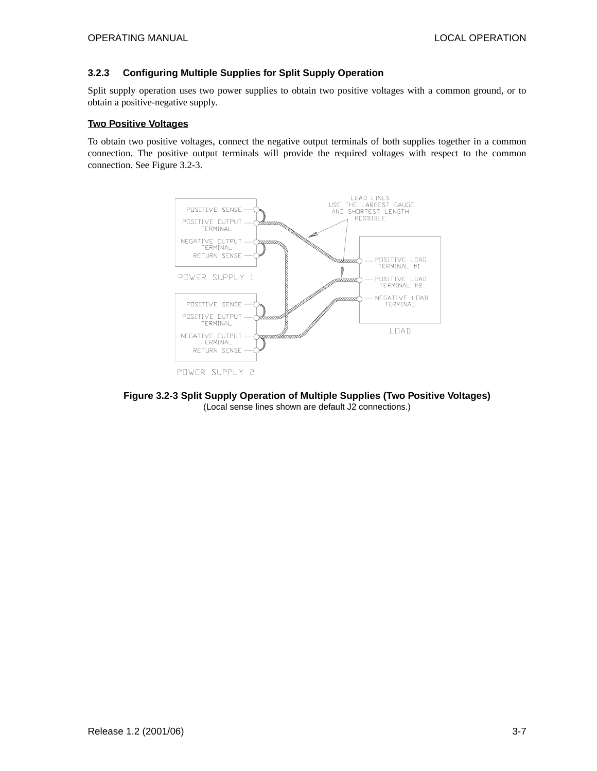#### **3.2.3 Configuring Multiple Supplies for Split Supply Operation**

Split supply operation uses two power supplies to obtain two positive voltages with a common ground, or to obtain a positive-negative supply.

#### **Two Positive Voltages**

To obtain two positive voltages, connect the negative output terminals of both supplies together in a common connection. The positive output terminals will provide the required voltages with respect to the common connection. See Figure 3.2-3.



**Figure 3.2-3 Split Supply Operation of Multiple Supplies (Two Positive Voltages)** (Local sense lines shown are default J2 connections.)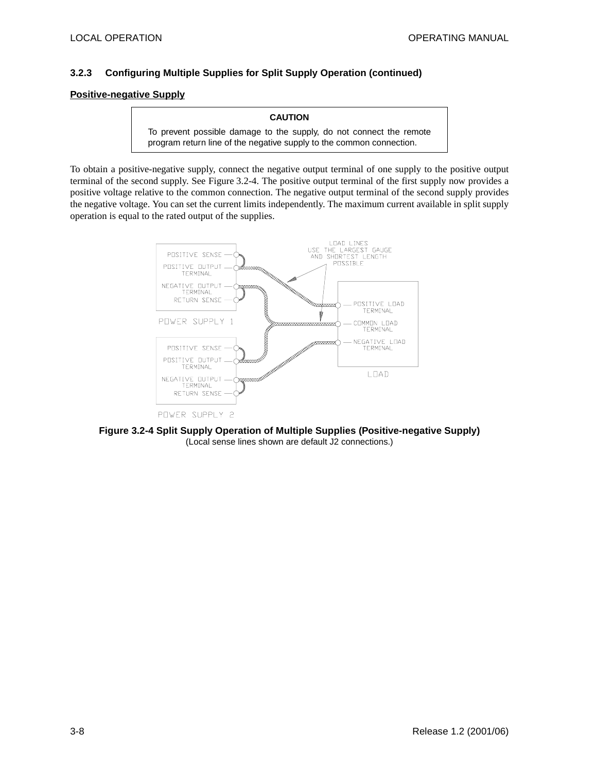#### **3.2.3 Configuring Multiple Supplies for Split Supply Operation (continued)**

#### **Positive-negative Supply**

#### **CAUTION**

To prevent possible damage to the supply, do not connect the remote program return line of the negative supply to the common connection.

To obtain a positive-negative supply, connect the negative output terminal of one supply to the positive output terminal of the second supply. See Figure 3.2-4. The positive output terminal of the first supply now provides a positive voltage relative to the common connection. The negative output terminal of the second supply provides the negative voltage. You can set the current limits independently. The maximum current available in split supply operation is equal to the rated output of the supplies.



**Figure 3.2-4 Split Supply Operation of Multiple Supplies (Positive-negative Supply)** (Local sense lines shown are default J2 connections.)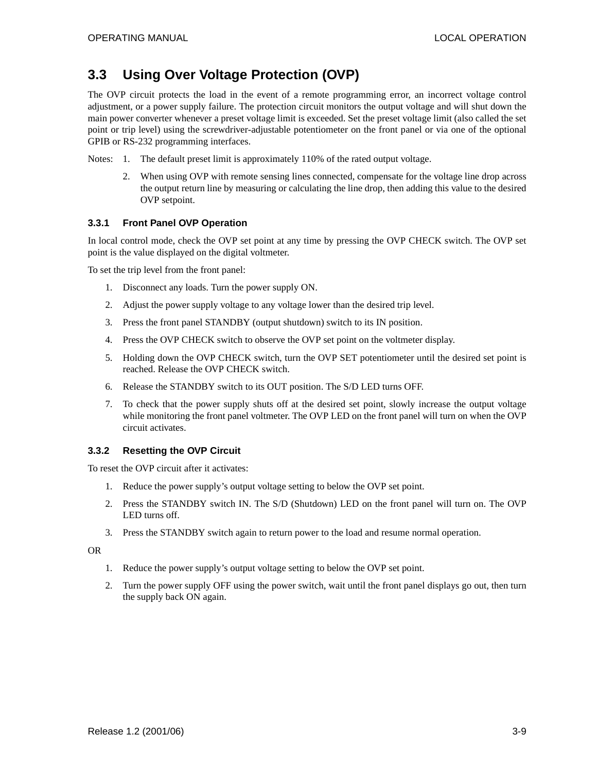### **3.3 Using Over Voltage Protection (OVP)**

The OVP circuit protects the load in the event of a remote programming error, an incorrect voltage control adjustment, or a power supply failure. The protection circuit monitors the output voltage and will shut down the main power converter whenever a preset voltage limit is exceeded. Set the preset voltage limit (also called the set point or trip level) using the screwdriver-adjustable potentiometer on the front panel or via one of the optional GPIB or RS-232 programming interfaces.

Notes: 1. The default preset limit is approximately 110% of the rated output voltage.

2. When using OVP with remote sensing lines connected, compensate for the voltage line drop across the output return line by measuring or calculating the line drop, then adding this value to the desired OVP setpoint.

#### **3.3.1 Front Panel OVP Operation**

In local control mode, check the OVP set point at any time by pressing the OVP CHECK switch. The OVP set point is the value displayed on the digital voltmeter.

To set the trip level from the front panel:

- 1. Disconnect any loads. Turn the power supply ON.
- 2. Adjust the power supply voltage to any voltage lower than the desired trip level.
- 3. Press the front panel STANDBY (output shutdown) switch to its IN position.
- 4. Press the OVP CHECK switch to observe the OVP set point on the voltmeter display.
- 5. Holding down the OVP CHECK switch, turn the OVP SET potentiometer until the desired set point is reached. Release the OVP CHECK switch.
- 6. Release the STANDBY switch to its OUT position. The S/D LED turns OFF.
- 7. To check that the power supply shuts off at the desired set point, slowly increase the output voltage while monitoring the front panel voltmeter. The OVP LED on the front panel will turn on when the OVP circuit activates.

#### **3.3.2 Resetting the OVP Circuit**

To reset the OVP circuit after it activates:

- 1. Reduce the power supply's output voltage setting to below the OVP set point.
- 2. Press the STANDBY switch IN. The S/D (Shutdown) LED on the front panel will turn on. The OVP LED turns off.
- 3. Press the STANDBY switch again to return power to the load and resume normal operation.

OR

- 1. Reduce the power supply's output voltage setting to below the OVP set point.
- 2. Turn the power supply OFF using the power switch, wait until the front panel displays go out, then turn the supply back ON again.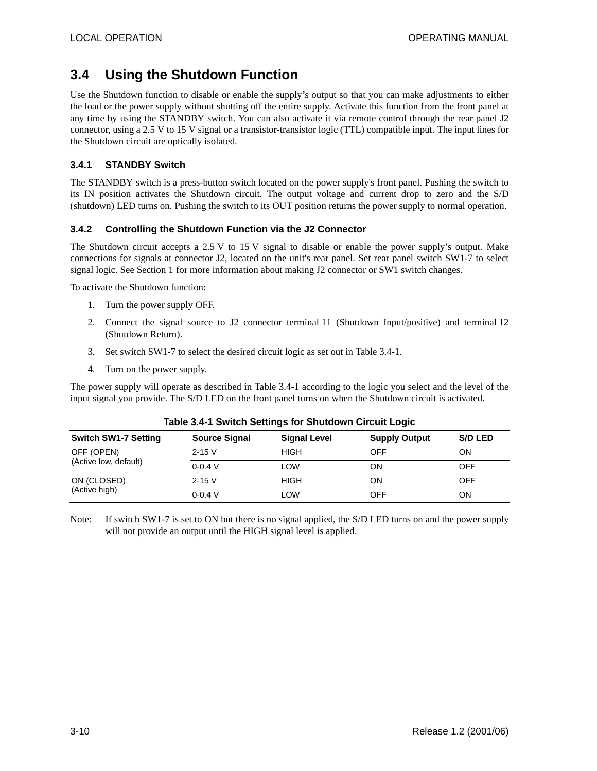# **3.4 Using the Shutdown Function**

Use the Shutdown function to disable or enable the supply's output so that you can make adjustments to either the load or the power supply without shutting off the entire supply. Activate this function from the front panel at any time by using the STANDBY switch. You can also activate it via remote control through the rear panel J2 connector, using a 2.5 V to 15 V signal or a transistor-transistor logic (TTL) compatible input. The input lines for the Shutdown circuit are optically isolated.

#### **3.4.1 STANDBY Switch**

The STANDBY switch is a press-button switch located on the power supply's front panel. Pushing the switch to its IN position activates the Shutdown circuit. The output voltage and current drop to zero and the S/D (shutdown) LED turns on. Pushing the switch to its OUT position returns the power supply to normal operation.

#### **3.4.2 Controlling the Shutdown Function via the J2 Connector**

The Shutdown circuit accepts a 2.5 V to 15 V signal to disable or enable the power supply's output. Make connections for signals at connector J2, located on the unit's rear panel. Set rear panel switch SW1-7 to select signal logic. See Section 1 for more information about making J2 connector or SW1 switch changes.

To activate the Shutdown function:

- 1. Turn the power supply OFF.
- 2. Connect the signal source to J2 connector terminal 11 (Shutdown Input/positive) and terminal 12 (Shutdown Return).
- 3. Set switch SW1-7 to select the desired circuit logic as set out in Table 3.4-1.
- 4. Turn on the power supply.

The power supply will operate as described in Table 3.4-1 according to the logic you select and the level of the input signal you provide. The S/D LED on the front panel turns on when the Shutdown circuit is activated.

| <b>Switch SW1-7 Setting</b>  | <b>Source Signal</b> | <b>Signal Level</b> | <b>Supply Output</b> | <b>S/D LED</b> |
|------------------------------|----------------------|---------------------|----------------------|----------------|
| OFF (OPEN)                   | $2 - 15V$            | HIGH                | OFF                  | OΝ             |
| (Active low, default)        | $0 - 0.4 V$          | LOW                 | ΟN                   | OFF            |
| ON (CLOSED)<br>(Active high) | $2 - 15V$            | HIGH                | ΟN                   | OFF            |
|                              | $0 - 0.4 V$          | LOW                 | OFF                  | OΝ             |

Note: If switch SW1-7 is set to ON but there is no signal applied, the S/D LED turns on and the power supply will not provide an output until the HIGH signal level is applied.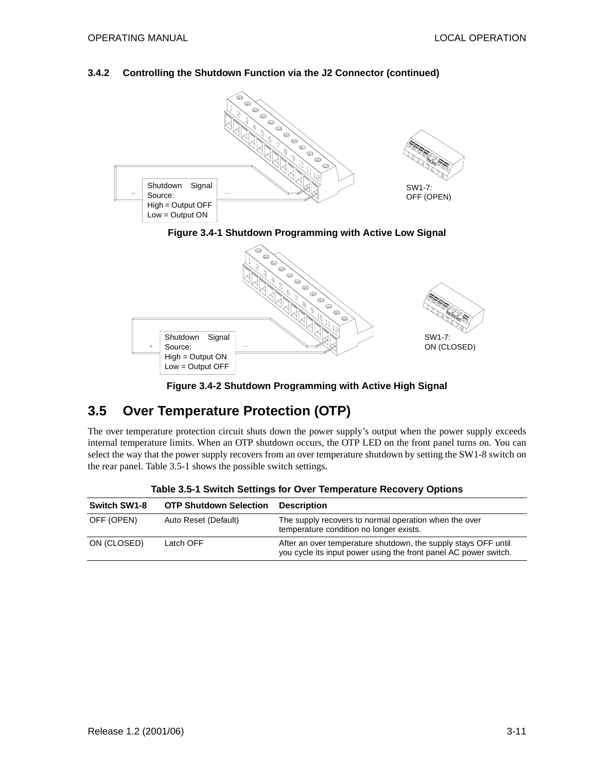#### **3.4.2 Controlling the Shutdown Function via the J2 Connector (continued)**



**Figure 3.4-1 Shutdown Programming with Active Low Signal**



**Figure 3.4-2 Shutdown Programming with Active High Signal**

# **3.5 Over Temperature Protection (OTP)**

The over temperature protection circuit shuts down the power supply's output when the power supply exceeds internal temperature limits. When an OTP shutdown occurs, the OTP LED on the front panel turns on. You can select the way that the power supply recovers from an over temperature shutdown by setting the SW1-8 switch on the rear panel. Table 3.5-1 shows the possible switch settings.

| <b>Switch SW1-8</b> | <b>OTP Shutdown Selection</b> | <b>Description</b>                                                                                                                 |
|---------------------|-------------------------------|------------------------------------------------------------------------------------------------------------------------------------|
| OFF (OPEN)          | Auto Reset (Default)          | The supply recovers to normal operation when the over<br>temperature condition no longer exists.                                   |
| ON (CLOSED)         | Latch OFF                     | After an over temperature shutdown, the supply stays OFF until<br>you cycle its input power using the front panel AC power switch. |

**Table 3.5-1 Switch Settings for Over Temperature Recovery Options**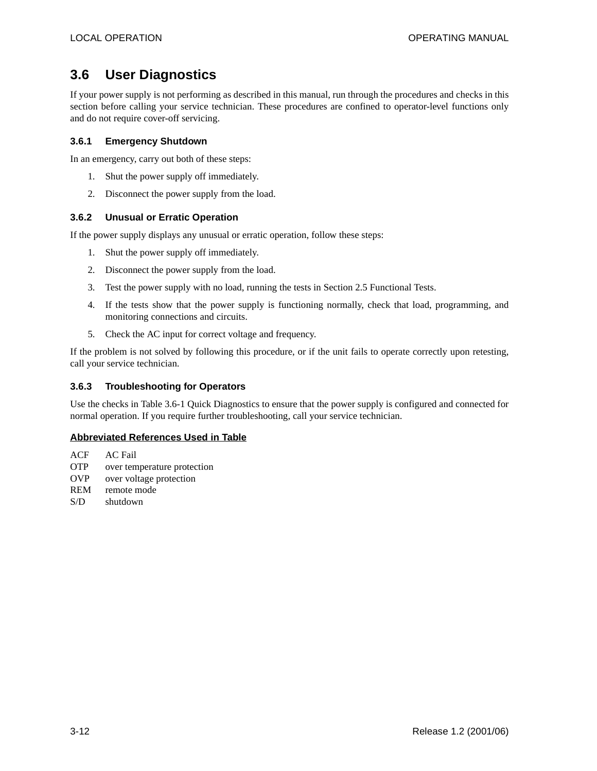# **3.6 User Diagnostics**

If your power supply is not performing as described in this manual, run through the procedures and checks in this section before calling your service technician. These procedures are confined to operator-level functions only and do not require cover-off servicing.

#### **3.6.1 Emergency Shutdown**

In an emergency, carry out both of these steps:

- 1. Shut the power supply off immediately.
- 2. Disconnect the power supply from the load.

#### **3.6.2 Unusual or Erratic Operation**

If the power supply displays any unusual or erratic operation, follow these steps:

- 1. Shut the power supply off immediately.
- 2. Disconnect the power supply from the load.
- 3. Test the power supply with no load, running the tests in Section 2.5 Functional Tests.
- 4. If the tests show that the power supply is functioning normally, check that load, programming, and monitoring connections and circuits.
- 5. Check the AC input for correct voltage and frequency.

If the problem is not solved by following this procedure, or if the unit fails to operate correctly upon retesting, call your service technician.

#### **3.6.3 Troubleshooting for Operators**

Use the checks in Table 3.6-1 Quick Diagnostics to ensure that the power supply is configured and connected for normal operation. If you require further troubleshooting, call your service technician.

#### **Abbreviated References Used in Table**

ACF AC Fail

- OTP over temperature protection
- OVP over voltage protection
- REM remote mode
- S/D shutdown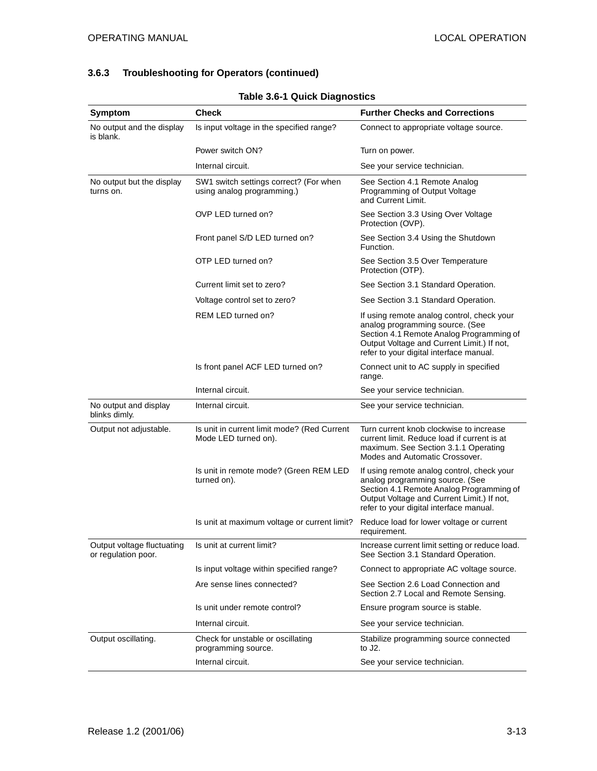### **3.6.3 Troubleshooting for Operators (continued)**

| Symptom                                           | Check                                                                | <b>Further Checks and Corrections</b>                                                                                                                                                                              |
|---------------------------------------------------|----------------------------------------------------------------------|--------------------------------------------------------------------------------------------------------------------------------------------------------------------------------------------------------------------|
| No output and the display<br>is blank.            | Is input voltage in the specified range?                             | Connect to appropriate voltage source.                                                                                                                                                                             |
|                                                   | Power switch ON?                                                     | Turn on power.                                                                                                                                                                                                     |
|                                                   | Internal circuit.                                                    | See your service technician.                                                                                                                                                                                       |
| No output but the display<br>turns on.            | SW1 switch settings correct? (For when<br>using analog programming.) | See Section 4.1 Remote Analog<br>Programming of Output Voltage<br>and Current Limit.                                                                                                                               |
|                                                   | OVP LED turned on?                                                   | See Section 3.3 Using Over Voltage<br>Protection (OVP).                                                                                                                                                            |
|                                                   | Front panel S/D LED turned on?                                       | See Section 3.4 Using the Shutdown<br>Function.                                                                                                                                                                    |
|                                                   | OTP LED turned on?                                                   | See Section 3.5 Over Temperature<br>Protection (OTP).                                                                                                                                                              |
|                                                   | Current limit set to zero?                                           | See Section 3.1 Standard Operation.                                                                                                                                                                                |
|                                                   | Voltage control set to zero?                                         | See Section 3.1 Standard Operation.                                                                                                                                                                                |
|                                                   | REM LED turned on?                                                   | If using remote analog control, check your<br>analog programming source. (See<br>Section 4.1 Remote Analog Programming of<br>Output Voltage and Current Limit.) If not,<br>refer to your digital interface manual. |
|                                                   | Is front panel ACF LED turned on?                                    | Connect unit to AC supply in specified<br>range.                                                                                                                                                                   |
|                                                   | Internal circuit.                                                    | See your service technician.                                                                                                                                                                                       |
| No output and display<br>blinks dimly.            | Internal circuit.                                                    | See your service technician.                                                                                                                                                                                       |
| Output not adjustable.                            | Is unit in current limit mode? (Red Current<br>Mode LED turned on).  | Turn current knob clockwise to increase<br>current limit. Reduce load if current is at<br>maximum. See Section 3.1.1 Operating<br>Modes and Automatic Crossover.                                                   |
|                                                   | Is unit in remote mode? (Green REM LED<br>turned on).                | If using remote analog control, check your<br>analog programming source. (See<br>Section 4.1 Remote Analog Programming of<br>Output Voltage and Current Limit.) If not,<br>refer to your digital interface manual. |
|                                                   | Is unit at maximum voltage or current limit?                         | Reduce load for lower voltage or current<br>requirement.                                                                                                                                                           |
| Output voltage fluctuating<br>or regulation poor. | Is unit at current limit?                                            | Increase current limit setting or reduce load.<br>See Section 3.1 Standard Operation.                                                                                                                              |
|                                                   | Is input voltage within specified range?                             | Connect to appropriate AC voltage source.                                                                                                                                                                          |
|                                                   | Are sense lines connected?                                           | See Section 2.6 Load Connection and<br>Section 2.7 Local and Remote Sensing.                                                                                                                                       |
|                                                   | Is unit under remote control?                                        | Ensure program source is stable.                                                                                                                                                                                   |
|                                                   | Internal circuit.                                                    | See your service technician.                                                                                                                                                                                       |
| Output oscillating.                               | Check for unstable or oscillating<br>programming source.             | Stabilize programming source connected<br>to J2.                                                                                                                                                                   |
|                                                   | Internal circuit.                                                    | See your service technician.                                                                                                                                                                                       |

#### **Table 3.6-1 Quick Diagnostics**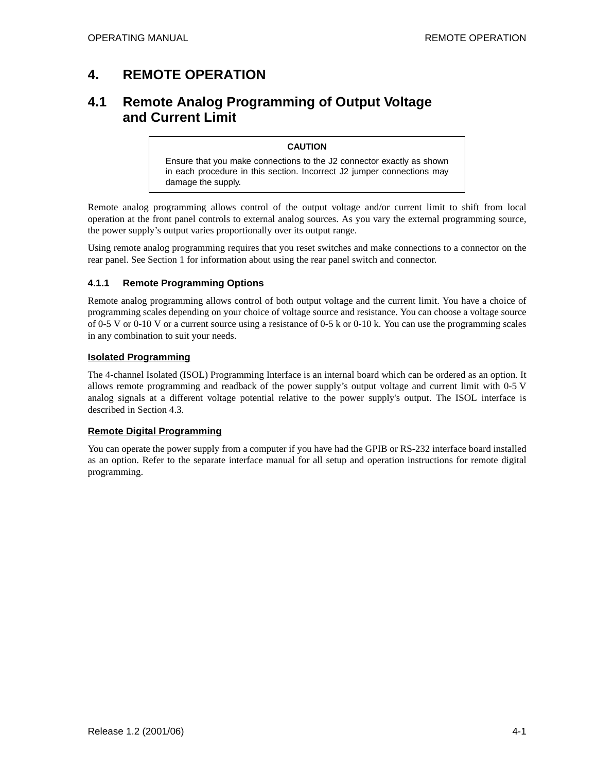# **4. REMOTE OPERATION**

### **4.1 Remote Analog Programming of Output Voltage and Current Limit**

#### **CAUTION**

Ensure that you make connections to the J2 connector exactly as shown in each procedure in this section. Incorrect J2 jumper connections may damage the supply.

Remote analog programming allows control of the output voltage and/or current limit to shift from local operation at the front panel controls to external analog sources. As you vary the external programming source, the power supply's output varies proportionally over its output range.

Using remote analog programming requires that you reset switches and make connections to a connector on the rear panel. See Section 1 for information about using the rear panel switch and connector.

#### **4.1.1 Remote Programming Options**

Remote analog programming allows control of both output voltage and the current limit. You have a choice of programming scales depending on your choice of voltage source and resistance. You can choose a voltage source of 0-5 V or 0-10 V or a current source using a resistance of 0-5 k or 0-10 k. You can use the programming scales in any combination to suit your needs.

#### **Isolated Programming**

The 4-channel Isolated (ISOL) Programming Interface is an internal board which can be ordered as an option. It allows remote programming and readback of the power supply's output voltage and current limit with 0-5 V analog signals at a different voltage potential relative to the power supply's output. The ISOL interface is described in Section 4.3.

#### **Remote Digital Programming**

You can operate the power supply from a computer if you have had the GPIB or RS-232 interface board installed as an option. Refer to the separate interface manual for all setup and operation instructions for remote digital programming.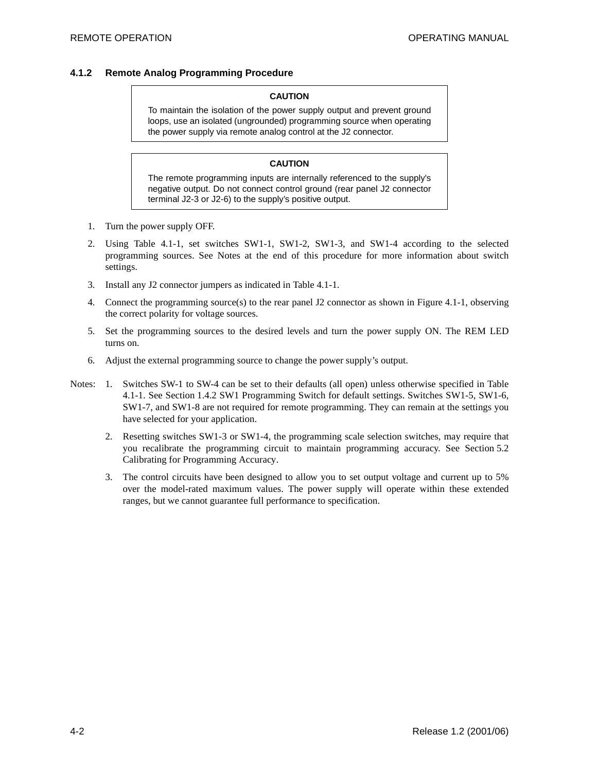#### **4.1.2 Remote Analog Programming Procedure**

#### **CAUTION**

To maintain the isolation of the power supply output and prevent ground loops, use an isolated (ungrounded) programming source when operating the power supply via remote analog control at the J2 connector.

#### **CAUTION**

The remote programming inputs are internally referenced to the supply's negative output. Do not connect control ground (rear panel J2 connector terminal J2-3 or J2-6) to the supply's positive output.

- 1. Turn the power supply OFF.
- 2. Using Table 4.1-1, set switches SW1-1, SW1-2, SW1-3, and SW1-4 according to the selected programming sources. See Notes at the end of this procedure for more information about switch settings.
- 3. Install any J2 connector jumpers as indicated in Table 4.1-1.
- 4. Connect the programming source(s) to the rear panel J2 connector as shown in Figure 4.1-1, observing the correct polarity for voltage sources.
- 5. Set the programming sources to the desired levels and turn the power supply ON. The REM LED turns on.
- 6. Adjust the external programming source to change the power supply's output.
- Notes: 1. Switches SW-1 to SW-4 can be set to their defaults (all open) unless otherwise specified in Table 4.1-1. See Section 1.4.2 SW1 Programming Switch for default settings. Switches SW1-5, SW1-6, SW1-7, and SW1-8 are not required for remote programming. They can remain at the settings you have selected for your application.
	- 2. Resetting switches SW1-3 or SW1-4, the programming scale selection switches, may require that you recalibrate the programming circuit to maintain programming accuracy. See Section 5.2 Calibrating for Programming Accuracy.
	- 3. The control circuits have been designed to allow you to set output voltage and current up to 5% over the model-rated maximum values. The power supply will operate within these extended ranges, but we cannot guarantee full performance to specification.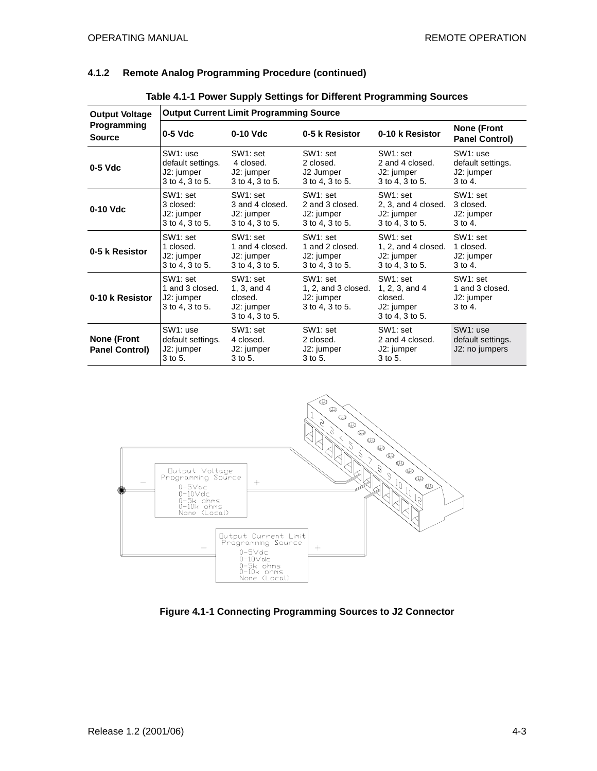#### **4.1.2 Remote Analog Programming Procedure (continued)**

| <b>Output Voltage</b><br>Programming<br><b>Source</b> | <b>Output Current Limit Programming Source</b>                              |                                                                           |                                                                                |                                                                                   |                                                                     |  |
|-------------------------------------------------------|-----------------------------------------------------------------------------|---------------------------------------------------------------------------|--------------------------------------------------------------------------------|-----------------------------------------------------------------------------------|---------------------------------------------------------------------|--|
|                                                       | $0-5$ Vdc                                                                   | 0-10 Vdc                                                                  | 0-5 k Resistor                                                                 | 0-10 k Resistor                                                                   | <b>None (Front</b><br><b>Panel Control)</b>                         |  |
| $0-5$ Vdc                                             | SW <sub>1</sub> : use<br>default settings.<br>J2: jumper<br>3 to 4, 3 to 5. | SW1: set<br>4 closed.<br>J2: jumper<br>3 to 4, 3 to 5.                    | SW <sub>1</sub> : set<br>2 closed.<br>J <sub>2</sub> Jumper<br>3 to 4, 3 to 5. | SW1: set<br>2 and 4 closed.<br>J2: jumper<br>3 to 4, 3 to 5.                      | SW <sub>1</sub> : use<br>default settings.<br>J2: jumper<br>3 to 4. |  |
| 0-10 Vdc                                              | SW1: set<br>3 closed:<br>J2: jumper<br>3 to 4, 3 to 5.                      | SW1: set<br>3 and 4 closed.<br>J2: jumper<br>3 to 4, 3 to 5.              | SW <sub>1</sub> : set<br>2 and 3 closed.<br>J2: jumper<br>3 to 4, 3 to 5.      | SW <sub>1</sub> : set<br>2, 3, and 4 closed.<br>J2: jumper<br>3 to 4, 3 to 5.     | SW <sub>1</sub> : set<br>3 closed.<br>J2: jumper<br>3 to 4.         |  |
| 0-5 k Resistor                                        | SW1: set<br>1 closed.<br>J2: jumper<br>3 to 4, 3 to 5.                      | SW <sub>1</sub> : set<br>1 and 4 closed.<br>J2: jumper<br>3 to 4, 3 to 5. | SW <sub>1</sub> : set<br>1 and 2 closed.<br>J2: jumper<br>3 to 4, 3 to 5.      | SW <sub>1</sub> : set<br>$1, 2,$ and $4$ closed.<br>J2: jumper<br>3 to 4, 3 to 5. | SW1: set<br>1 closed.<br>J2: jumper<br>3 to 4.                      |  |
| 0-10 k Resistor                                       | SW1: set<br>1 and 3 closed.<br>J2: jumper<br>3 to 4, 3 to 5.                | SW1: set<br>1, $3$ , and $4$<br>closed.<br>J2: jumper<br>3 to 4, 3 to 5.  | SW1: set<br>1, 2, and 3 closed.<br>J2: jumper<br>3 to 4, 3 to 5.               | SW1: set<br>1, 2, 3, and 4<br>closed.<br>J2: jumper<br>3 to 4, 3 to 5.            | SW <sub>1</sub> : set<br>1 and 3 closed.<br>J2: jumper<br>3 to 4.   |  |
| <b>None (Front</b><br><b>Panel Control)</b>           | SW <sub>1</sub> : use<br>default settings.<br>J2: jumper<br>3 to 5.         | SW1: set<br>4 closed.<br>J2: jumper<br>3 to 5.                            | SW <sub>1</sub> : set<br>2 closed.<br>J2: jumper<br>3 to 5.                    | SW1: set<br>2 and 4 closed.<br>J2: jumper<br>3 to 5.                              | SW1: use<br>default settings.<br>J2: no jumpers                     |  |



**Figure 4.1-1 Connecting Programming Sources to J2 Connector**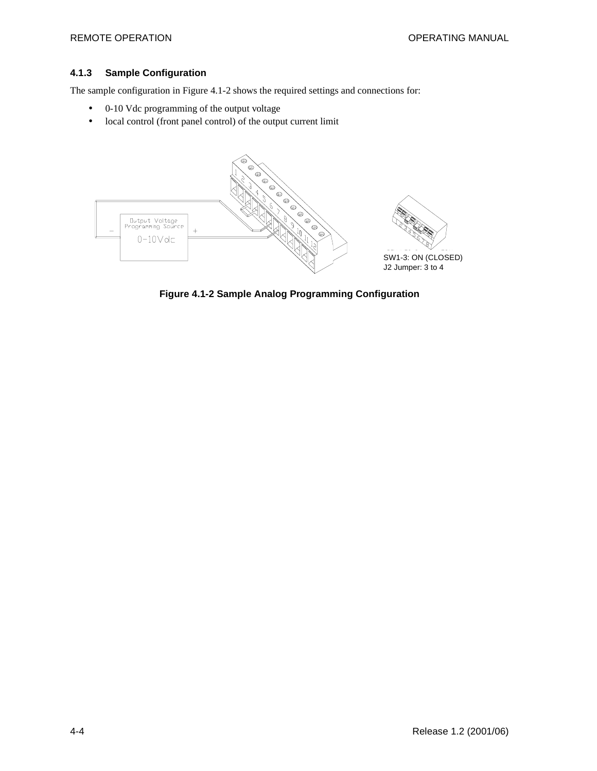#### **4.1.3 Sample Configuration**

The sample configuration in Figure 4.1-2 shows the required settings and connections for:

- 0-10 Vdc programming of the output voltage
- local control (front panel control) of the output current limit



**Figure 4.1-2 Sample Analog Programming Configuration**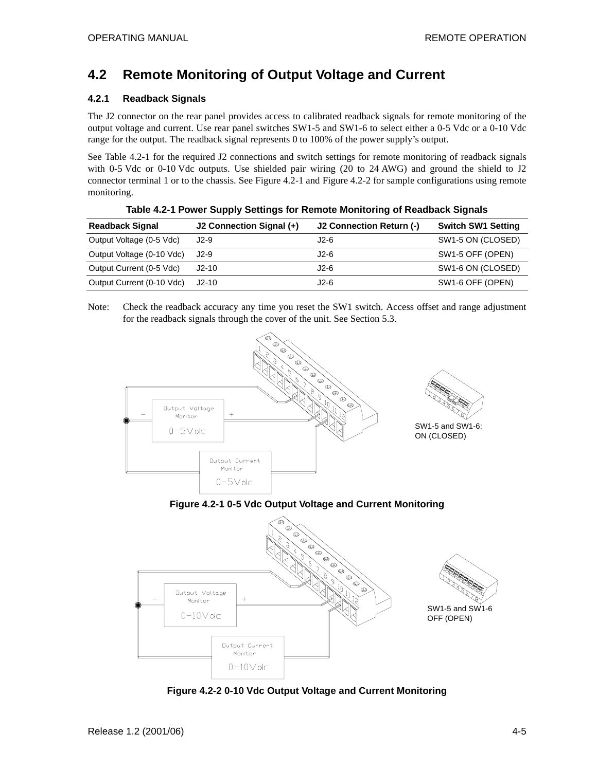# **4.2 Remote Monitoring of Output Voltage and Current**

#### **4.2.1 Readback Signals**

The J2 connector on the rear panel provides access to calibrated readback signals for remote monitoring of the output voltage and current. Use rear panel switches SW1-5 and SW1-6 to select either a 0-5 Vdc or a 0-10 Vdc range for the output. The readback signal represents 0 to 100% of the power supply's output.

See Table 4.2-1 for the required J2 connections and switch settings for remote monitoring of readback signals with 0-5 Vdc or 0-10 Vdc outputs. Use shielded pair wiring (20 to 24 AWG) and ground the shield to J2 connector terminal 1 or to the chassis. See Figure 4.2-1 and Figure 4.2-2 for sample configurations using remote monitoring.

| <b>Readback Signal</b>    | J2 Connection Signal (+) | J2 Connection Return (-) | <b>Switch SW1 Setting</b> |
|---------------------------|--------------------------|--------------------------|---------------------------|
| Output Voltage (0-5 Vdc)  | $J2-9$                   | J2-6                     | SW1-5 ON (CLOSED)         |
| Output Voltage (0-10 Vdc) | $J2-9$                   | $J2-6$                   | SW1-5 OFF (OPEN)          |
| Output Current (0-5 Vdc)  | $J2-10$                  | J2-6                     | SW1-6 ON (CLOSED)         |
| Output Current (0-10 Vdc) | $J2-10$                  | J2-6                     | SW1-6 OFF (OPEN)          |

**Table 4.2-1 Power Supply Settings for Remote Monitoring of Readback Signals**

Note: Check the readback accuracy any time you reset the SW1 switch. Access offset and range adjustment for the readback signals through the cover of the unit. See Section 5.3.



**Figure 4.2-2 0-10 Vdc Output Voltage and Current Monitoring**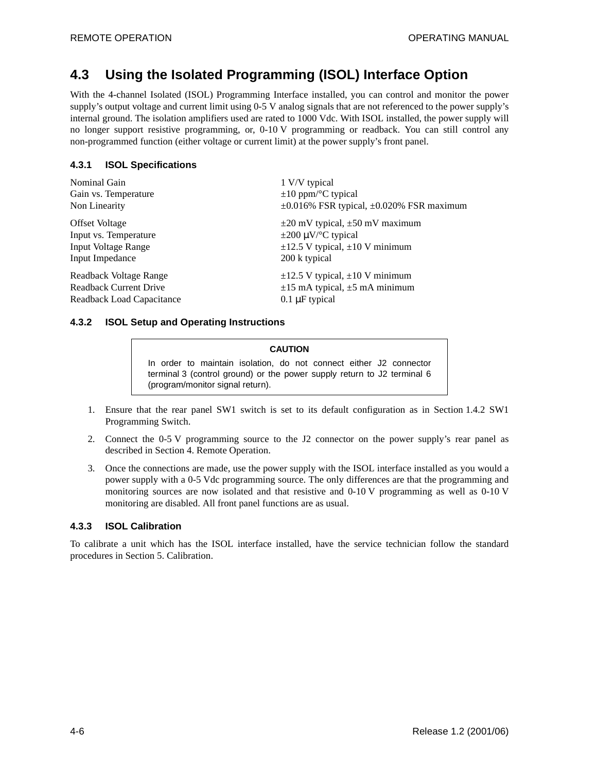### **4.3 Using the Isolated Programming (ISOL) Interface Option**

With the 4-channel Isolated (ISOL) Programming Interface installed, you can control and monitor the power supply's output voltage and current limit using 0-5 V analog signals that are not referenced to the power supply's internal ground. The isolation amplifiers used are rated to 1000 Vdc. With ISOL installed, the power supply will no longer support resistive programming, or, 0-10 V programming or readback. You can still control any non-programmed function (either voltage or current limit) at the power supply's front panel.

#### **4.3.1 ISOL Specifications**

| Nominal Gain                  | 1 V/V typical                                        |
|-------------------------------|------------------------------------------------------|
| Gain vs. Temperature          | $\pm 10$ ppm/ $\rm{^{\circ}C}$ typical               |
| Non Linearity                 | $\pm 0.016\%$ FSR typical, $\pm 0.020\%$ FSR maximum |
| <b>Offset Voltage</b>         | $\pm 20$ mV typical, $\pm 50$ mV maximum             |
| Input vs. Temperature         | $\pm 200 \mu V$ <sup>o</sup> C typical               |
| <b>Input Voltage Range</b>    | $\pm 12.5$ V typical, $\pm 10$ V minimum             |
| Input Impedance               | 200 k typical                                        |
| Readback Voltage Range        | $\pm$ 12.5 V typical, $\pm$ 10 V minimum             |
| <b>Readback Current Drive</b> | $\pm 15$ mA typical, $\pm 5$ mA minimum              |
| Readback Load Capacitance     | $0.1 \mu$ F typical                                  |

#### **4.3.2 ISOL Setup and Operating Instructions**

#### **CAUTION**

In order to maintain isolation, do not connect either J2 connector terminal 3 (control ground) or the power supply return to J2 terminal 6 (program/monitor signal return).

- 1. Ensure that the rear panel SW1 switch is set to its default configuration as in Section 1.4.2 SW1 Programming Switch.
- 2. Connect the 0-5 V programming source to the J2 connector on the power supply's rear panel as described in Section 4. Remote Operation.
- 3. Once the connections are made, use the power supply with the ISOL interface installed as you would a power supply with a 0-5 Vdc programming source. The only differences are that the programming and monitoring sources are now isolated and that resistive and 0-10 V programming as well as 0-10 V monitoring are disabled. All front panel functions are as usual.

#### **4.3.3 ISOL Calibration**

To calibrate a unit which has the ISOL interface installed, have the service technician follow the standard procedures in Section 5. Calibration.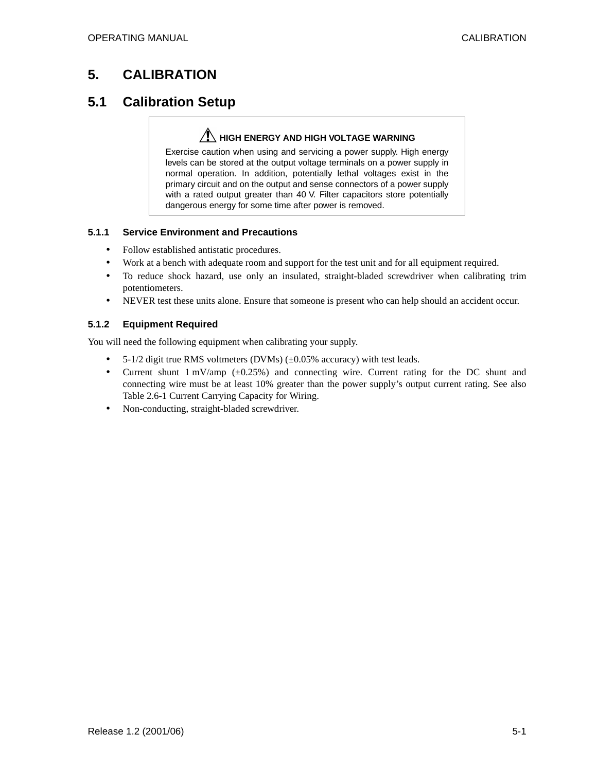### **5. CALIBRATION**

### **5.1 Calibration Setup**

### **AND HIGH ENERGY AND HIGH VOLTAGE WARNING**

Exercise caution when using and servicing a power supply. High energy levels can be stored at the output voltage terminals on a power supply in normal operation. In addition, potentially lethal voltages exist in the primary circuit and on the output and sense connectors of a power supply with a rated output greater than 40 V. Filter capacitors store potentially dangerous energy for some time after power is removed.

#### **5.1.1 Service Environment and Precautions**

- Follow established antistatic procedures.
- Work at a bench with adequate room and support for the test unit and for all equipment required.
- To reduce shock hazard, use only an insulated, straight-bladed screwdriver when calibrating trim potentiometers.
- NEVER test these units alone. Ensure that someone is present who can help should an accident occur.

#### **5.1.2 Equipment Required**

You will need the following equipment when calibrating your supply.

- 5-1/2 digit true RMS voltmeters (DVMs)  $(\pm 0.05\% \text{ accuracy})$  with test leads.
- Current shunt  $1 \text{ mV/amp}$  ( $\pm 0.25\%$ ) and connecting wire. Current rating for the DC shunt and connecting wire must be at least 10% greater than the power supply's output current rating. See also Table 2.6-1 Current Carrying Capacity for Wiring.
- Non-conducting, straight-bladed screwdriver.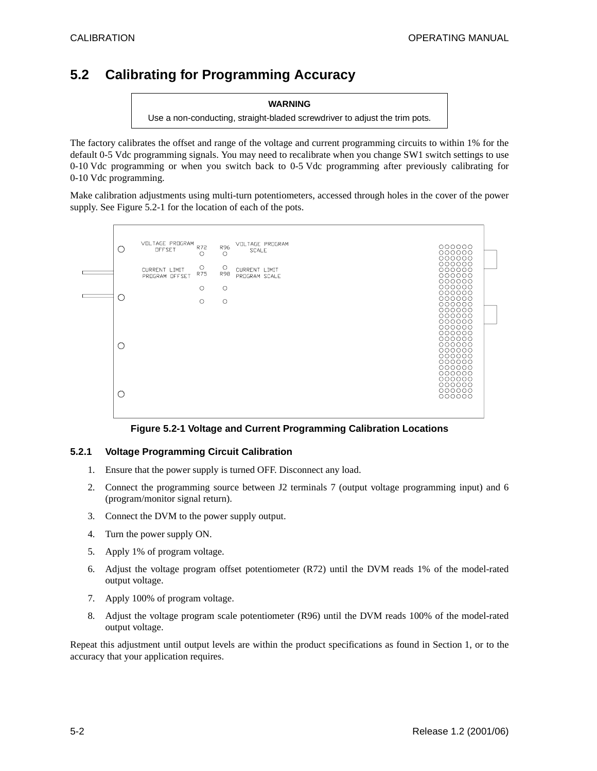# **5.2 Calibrating for Programming Accuracy**

**WARNING** Use a non-conducting, straight-bladed screwdriver to adjust the trim pots.

The factory calibrates the offset and range of the voltage and current programming circuits to within 1% for the default 0-5 Vdc programming signals. You may need to recalibrate when you change SW1 switch settings to use 0-10 Vdc programming or when you switch back to 0-5 Vdc programming after previously calibrating for 0-10 Vdc programming.

Make calibration adjustments using multi-turn potentiometers, accessed through holes in the cover of the power supply. See Figure 5.2-1 for the location of each of the pots.



**Figure 5.2-1 Voltage and Current Programming Calibration Locations**

#### **5.2.1 Voltage Programming Circuit Calibration**

- 1. Ensure that the power supply is turned OFF. Disconnect any load.
- 2. Connect the programming source between J2 terminals 7 (output voltage programming input) and 6 (program/monitor signal return).
- 3. Connect the DVM to the power supply output.
- 4. Turn the power supply ON.
- 5. Apply 1% of program voltage.
- 6. Adjust the voltage program offset potentiometer (R72) until the DVM reads 1% of the model-rated output voltage.
- 7. Apply 100% of program voltage.
- 8. Adjust the voltage program scale potentiometer (R96) until the DVM reads 100% of the model-rated output voltage.

Repeat this adjustment until output levels are within the product specifications as found in Section 1, or to the accuracy that your application requires.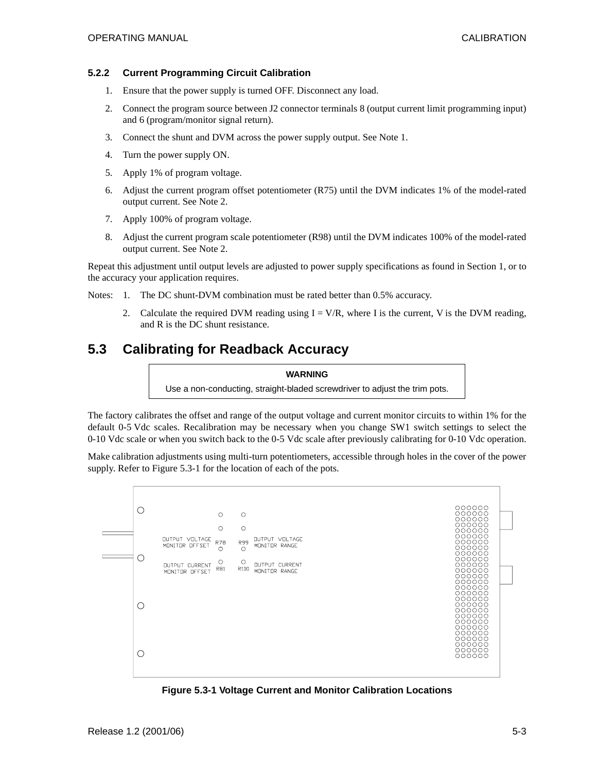#### **5.2.2 Current Programming Circuit Calibration**

- 1. Ensure that the power supply is turned OFF. Disconnect any load.
- 2. Connect the program source between J2 connector terminals 8 (output current limit programming input) and 6 (program/monitor signal return).
- 3. Connect the shunt and DVM across the power supply output. See Note 1.
- 4. Turn the power supply ON.
- 5. Apply 1% of program voltage.
- 6. Adjust the current program offset potentiometer (R75) until the DVM indicates 1% of the model-rated output current. See Note 2.
- 7. Apply 100% of program voltage.
- 8. Adjust the current program scale potentiometer (R98) until the DVM indicates 100% of the model-rated output current. See Note 2.

Repeat this adjustment until output levels are adjusted to power supply specifications as found in Section 1, or to the accuracy your application requires.

Notes: 1. The DC shunt-DVM combination must be rated better than 0.5% accuracy.

2. Calculate the required DVM reading using  $I = V/R$ , where I is the current, V is the DVM reading, and R is the DC shunt resistance.

### **5.3 Calibrating for Readback Accuracy**

**WARNING** Use a non-conducting, straight-bladed screwdriver to adjust the trim pots.

The factory calibrates the offset and range of the output voltage and current monitor circuits to within 1% for the default 0-5 Vdc scales. Recalibration may be necessary when you change SW1 switch settings to select the 0-10 Vdc scale or when you switch back to the 0-5 Vdc scale after previously calibrating for 0-10 Vdc operation.

Make calibration adjustments using multi-turn potentiometers, accessible through holes in the cover of the power supply. Refer to Figure 5.3-1 for the location of each of the pots.